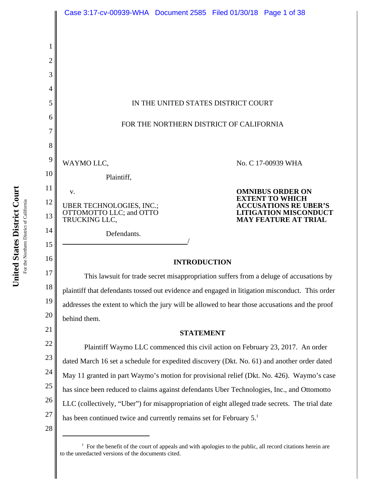

<sup>&</sup>lt;sup>1</sup> For the benefit of the court of appeals and with apologies to the public, all record citations herein are to the unredacted versions of the documents cited.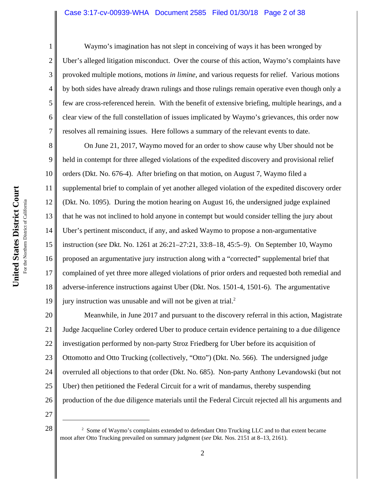#### Case 3:17-cv-00939-WHA Document 2585 Filed 01/30/18 Page 2 of 38

1

2

3

4

5

6

7

Waymo's imagination has not slept in conceiving of ways it has been wronged by Uber's alleged litigation misconduct. Over the course of this action, Waymo's complaints have provoked multiple motions, motions *in limine*, and various requests for relief. Various motions by both sides have already drawn rulings and those rulings remain operative even though only a few are cross-referenced herein. With the benefit of extensive briefing, multiple hearings, and a clear view of the full constellation of issues implicated by Waymo's grievances, this order now resolves all remaining issues. Here follows a summary of the relevant events to date.

8 9 10 11 12 13 14 15 16 17 18 19 On June 21, 2017, Waymo moved for an order to show cause why Uber should not be held in contempt for three alleged violations of the expedited discovery and provisional relief orders (Dkt. No. 676-4). After briefing on that motion, on August 7, Waymo filed a supplemental brief to complain of yet another alleged violation of the expedited discovery order (Dkt. No. 1095). During the motion hearing on August 16, the undersigned judge explained that he was not inclined to hold anyone in contempt but would consider telling the jury about Uber's pertinent misconduct, if any, and asked Waymo to propose a non-argumentative instruction (*see* Dkt. No. 1261 at 26:21–27:21, 33:8–18, 45:5–9). On September 10, Waymo proposed an argumentative jury instruction along with a "corrected" supplemental brief that complained of yet three more alleged violations of prior orders and requested both remedial and adverse-inference instructions against Uber (Dkt. Nos. 1501-4, 1501-6). The argumentative jury instruction was unusable and will not be given at trial. $2$ 

20 21 22 23 24 25 26 Meanwhile, in June 2017 and pursuant to the discovery referral in this action, Magistrate Judge Jacqueline Corley ordered Uber to produce certain evidence pertaining to a due diligence investigation performed by non-party Stroz Friedberg for Uber before its acquisition of Ottomotto and Otto Trucking (collectively, "Otto") (Dkt. No. 566). The undersigned judge overruled all objections to that order (Dkt. No. 685). Non-party Anthony Levandowski (but not Uber) then petitioned the Federal Circuit for a writ of mandamus, thereby suspending production of the due diligence materials until the Federal Circuit rejected all his arguments and

27

<sup>&</sup>lt;sup>2</sup> Some of Waymo's complaints extended to defendant Otto Trucking LLC and to that extent became moot after Otto Trucking prevailed on summary judgment (*see* Dkt. Nos. 2151 at 8–13, 2161).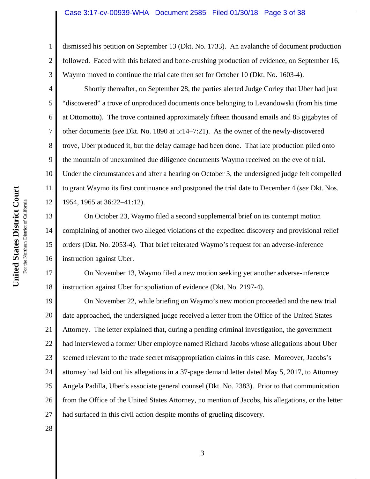#### Case 3:17-cv-00939-WHA Document 2585 Filed 01/30/18 Page 3 of 38

dismissed his petition on September 13 (Dkt. No. 1733). An avalanche of document production followed. Faced with this belated and bone-crushing production of evidence, on September 16, Waymo moved to continue the trial date then set for October 10 (Dkt. No. 1603-4).

Shortly thereafter, on September 28, the parties alerted Judge Corley that Uber had just "discovered" a trove of unproduced documents once belonging to Levandowski (from his time at Ottomotto). The trove contained approximately fifteen thousand emails and 85 gigabytes of other documents (*see* Dkt. No. 1890 at 5:14–7:21). As the owner of the newly-discovered trove, Uber produced it, but the delay damage had been done. That late production piled onto the mountain of unexamined due diligence documents Waymo received on the eve of trial. Under the circumstances and after a hearing on October 3, the undersigned judge felt compelled to grant Waymo its first continuance and postponed the trial date to December 4 (*see* Dkt. Nos. 1954, 1965 at 36:22–41:12).

13 14 15 16 On October 23, Waymo filed a second supplemental brief on its contempt motion complaining of another two alleged violations of the expedited discovery and provisional relief orders (Dkt. No. 2053-4). That brief reiterated Waymo's request for an adverse-inference instruction against Uber.

17 18 On November 13, Waymo filed a new motion seeking yet another adverse-inference instruction against Uber for spoliation of evidence (Dkt. No. 2197-4).

19 20 21 22 23 24 25 26 27 On November 22, while briefing on Waymo's new motion proceeded and the new trial date approached, the undersigned judge received a letter from the Office of the United States Attorney. The letter explained that, during a pending criminal investigation, the government had interviewed a former Uber employee named Richard Jacobs whose allegations about Uber seemed relevant to the trade secret misappropriation claims in this case. Moreover, Jacobs's attorney had laid out his allegations in a 37-page demand letter dated May 5, 2017, to Attorney Angela Padilla, Uber's associate general counsel (Dkt. No. 2383). Prior to that communication from the Office of the United States Attorney, no mention of Jacobs, his allegations, or the letter had surfaced in this civil action despite months of grueling discovery.

28

1

2

3

4

5

6

7

8

9

10

11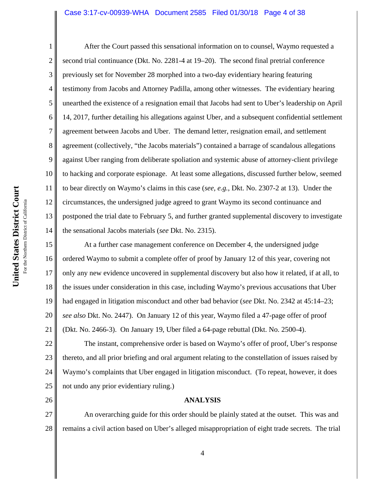#### Case 3:17-cv-00939-WHA Document 2585 Filed 01/30/18 Page 4 of 38

26

1 2 3 4 5 6 7 8 9 10 11 12 13 14 After the Court passed this sensational information on to counsel, Waymo requested a second trial continuance (Dkt. No. 2281-4 at 19–20). The second final pretrial conference previously set for November 28 morphed into a two-day evidentiary hearing featuring testimony from Jacobs and Attorney Padilla, among other witnesses. The evidentiary hearing unearthed the existence of a resignation email that Jacobs had sent to Uber's leadership on April 14, 2017, further detailing his allegations against Uber, and a subsequent confidential settlement agreement between Jacobs and Uber. The demand letter, resignation email, and settlement agreement (collectively, "the Jacobs materials") contained a barrage of scandalous allegations against Uber ranging from deliberate spoliation and systemic abuse of attorney-client privilege to hacking and corporate espionage. At least some allegations, discussed further below, seemed to bear directly on Waymo's claims in this case (*see, e.g.*, Dkt. No. 2307-2 at 13). Under the circumstances, the undersigned judge agreed to grant Waymo its second continuance and postponed the trial date to February 5, and further granted supplemental discovery to investigate the sensational Jacobs materials (*see* Dkt. No. 2315).

15 16 17 18 19 20 21 At a further case management conference on December 4, the undersigned judge ordered Waymo to submit a complete offer of proof by January 12 of this year, covering not only any new evidence uncovered in supplemental discovery but also how it related, if at all, to the issues under consideration in this case, including Waymo's previous accusations that Uber had engaged in litigation misconduct and other bad behavior (*see* Dkt. No. 2342 at 45:14–23; *see also* Dkt. No. 2447). On January 12 of this year, Waymo filed a 47-page offer of proof (Dkt. No. 2466-3). On January 19, Uber filed a 64-page rebuttal (Dkt. No. 2500-4).

22 23 24 25 The instant, comprehensive order is based on Waymo's offer of proof, Uber's response thereto, and all prior briefing and oral argument relating to the constellation of issues raised by Waymo's complaints that Uber engaged in litigation misconduct. (To repeat, however, it does not undo any prior evidentiary ruling.)

**ANALYSIS**

27 28 An overarching guide for this order should be plainly stated at the outset. This was and remains a civil action based on Uber's alleged misappropriation of eight trade secrets. The trial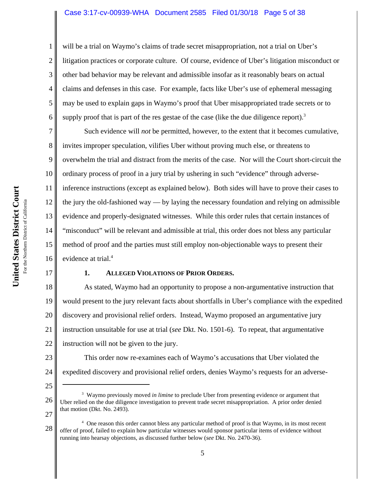### Case 3:17-cv-00939-WHA Document 2585 Filed 01/30/18 Page 5 of 38

will be a trial on Waymo's claims of trade secret misappropriation, not a trial on Uber's litigation practices or corporate culture. Of course, evidence of Uber's litigation misconduct or other bad behavior may be relevant and admissible insofar as it reasonably bears on actual claims and defenses in this case. For example, facts like Uber's use of ephemeral messaging may be used to explain gaps in Waymo's proof that Uber misappropriated trade secrets or to supply proof that is part of the res gestae of the case (like the due diligence report).<sup>3</sup>

7 8 9 10 11 12 13 14 15 16 Such evidence will *not* be permitted, however, to the extent that it becomes cumulative, invites improper speculation, vilifies Uber without proving much else, or threatens to overwhelm the trial and distract from the merits of the case. Nor will the Court short-circuit the ordinary process of proof in a jury trial by ushering in such "evidence" through adverseinference instructions (except as explained below). Both sides will have to prove their cases to the jury the old-fashioned way — by laying the necessary foundation and relying on admissible evidence and properly-designated witnesses. While this order rules that certain instances of "misconduct" will be relevant and admissible at trial, this order does not bless any particular method of proof and the parties must still employ non-objectionable ways to present their evidence at trial.<sup>4</sup>

17

1

2

3

4

5

6

# **1. ALLEGED VIOLATIONS OF PRIOR ORDERS.**

18 19 20 21 22 As stated, Waymo had an opportunity to propose a non-argumentative instruction that would present to the jury relevant facts about shortfalls in Uber's compliance with the expedited discovery and provisional relief orders. Instead, Waymo proposed an argumentative jury instruction unsuitable for use at trial (*see* Dkt. No. 1501-6). To repeat, that argumentative instruction will not be given to the jury.

23 24 This order now re-examines each of Waymo's accusations that Uber violated the expedited discovery and provisional relief orders, denies Waymo's requests for an adverse-

25

28 4 One reason this order cannot bless any particular method of proof is that Waymo, in its most recent offer of proof, failed to explain how particular witnesses would sponsor particular items of evidence without running into hearsay objections, as discussed further below (*see* Dkt. No. 2470-36).

<sup>26</sup> 27 <sup>3</sup> Waymo previously moved *in limine* to preclude Uber from presenting evidence or argument that Uber relied on the due diligence investigation to prevent trade secret misappropriation. A prior order denied that motion (Dkt. No. 2493).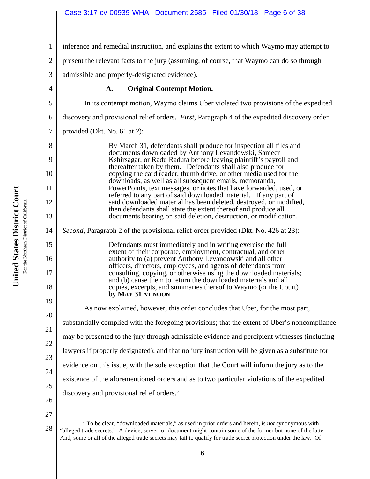inference and remedial instruction, and explains the extent to which Waymo may attempt to

present the relevant facts to the jury (assuming, of course, that Waymo can do so through

admissible and properly-designated evidence).

# **A. Original Contempt Motion.**

5 6 7 8 9 10 11 12 13 14 15 16 17 18 19 20 21 22 23 24 25 26 In its contempt motion, Waymo claims Uber violated two provisions of the expedited discovery and provisional relief orders. *First*, Paragraph 4 of the expedited discovery order provided (Dkt. No. 61 at 2): By March 31, defendants shall produce for inspection all files and documents downloaded by Anthony Levandowski, Sameer Kshirsagar, or Radu Raduta before leaving plaintiff's payroll and thereafter taken by them. Defendants shall also produce for copying the card reader, thumb drive, or other media used for the downloads, as well as all subsequent emails, memoranda, PowerPoints, text messages, or notes that have forwarded, used, or referred to any part of said downloaded material. If any part of said downloaded material has been deleted, destroyed, or modified, then defendants shall state the extent thereof and produce all documents bearing on said deletion, destruction, or modification. *Second*, Paragraph 2 of the provisional relief order provided (Dkt. No. 426 at 23): Defendants must immediately and in writing exercise the full extent of their corporate, employment, contractual, and other authority to (a) prevent Anthony Levandowski and all other officers, directors, employees, and agents of defendants from consulting, copying, or otherwise using the downloaded materials; and (b) cause them to return the downloaded materials and all copies, excerpts, and summaries thereof to Waymo (or the Court) by **MAY 31 AT NOON**. As now explained, however, this order concludes that Uber, for the most part, substantially complied with the foregoing provisions; that the extent of Uber's noncompliance may be presented to the jury through admissible evidence and percipient witnesses (including lawyers if properly designated); and that no jury instruction will be given as a substitute for evidence on this issue, with the sole exception that the Court will inform the jury as to the existence of the aforementioned orders and as to two particular violations of the expedited discovery and provisional relief orders.<sup>5</sup>

27

1

2

3

<sup>28</sup> 5 To be clear, "downloaded materials," as used in prior orders and herein, is *not* synonymous with "alleged trade secrets." A device, server, or document might contain some of the former but none of the latter. And, some or all of the alleged trade secrets may fail to qualify for trade secret protection under the law. Of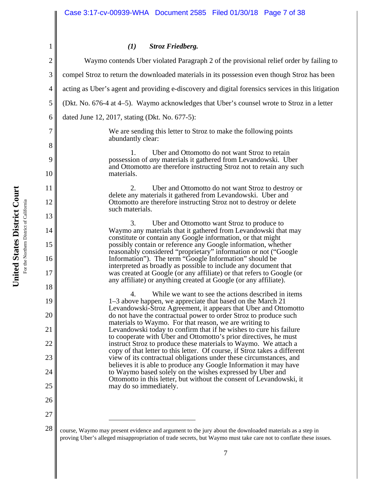# *(1) Stroz Friedberg.*

| $\overline{ }$ | $0.004$ , The $0.0001$ $\zeta$ .                                                                                                                                                                                            |  |  |
|----------------|-----------------------------------------------------------------------------------------------------------------------------------------------------------------------------------------------------------------------------|--|--|
| $\overline{2}$ | Waymo contends Uber violated Paragraph 2 of the provisional relief order by failing to                                                                                                                                      |  |  |
| 3              | compel Stroz to return the downloaded materials in its possession even though Stroz has been                                                                                                                                |  |  |
| $\overline{4}$ | acting as Uber's agent and providing e-discovery and digital forensics services in this litigation                                                                                                                          |  |  |
| 5              | (Dkt. No. 676-4 at 4–5). Waymo acknowledges that Uber's counsel wrote to Stroz in a letter                                                                                                                                  |  |  |
| 6              | dated June 12, 2017, stating (Dkt. No. 677-5):                                                                                                                                                                              |  |  |
| 7              | We are sending this letter to Stroz to make the following points<br>abundantly clear:                                                                                                                                       |  |  |
| 8              | $\mathbf{1}$ .<br>Uber and Ottomotto do not want Stroz to retain                                                                                                                                                            |  |  |
| 9              | possession of <i>any</i> materials it gathered from Levandowski. Uber<br>and Ottomotto are therefore instructing Stroz not to retain any such                                                                               |  |  |
| 10             | materials.                                                                                                                                                                                                                  |  |  |
| 11             | 2.<br>Uber and Ottomotto do not want Stroz to destroy or<br>delete any materials it gathered from Levandowski. Uber and                                                                                                     |  |  |
| 12             | Ottomotto are therefore instructing Stroz not to destroy or delete<br>such materials.                                                                                                                                       |  |  |
| 13             |                                                                                                                                                                                                                             |  |  |
| 14             | 3.<br>Uber and Ottomotto want Stroz to produce to<br>Waymo any materials that it gathered from Levandowski that may                                                                                                         |  |  |
| 15             | constitute or contain any Google information, or that might<br>possibly contain or reference any Google information, whether<br>reasonably considered "proprietary" information or not ("Google                             |  |  |
| 16             | Information"). The term "Google Information" should be<br>interpreted as broadly as possible to include any document that                                                                                                   |  |  |
| 17             | was created at Google (or any affiliate) or that refers to Google (or<br>any affiliate) or anything created at Google (or any affiliate).                                                                                   |  |  |
| 18             | $\overline{4}$ .<br>While we want to see the actions described in items                                                                                                                                                     |  |  |
| 19             | 1–3 above happen, we appreciate that based on the March 21<br>Levandowski-Stroz Agreement, it appears that Uber and Ottomotto                                                                                               |  |  |
| 20             | do not have the contractual power to order Stroz to produce such<br>materials to Waymo. For that reason, we are writing to                                                                                                  |  |  |
| 21             | Levandowski today to confirm that if he wishes to cure his failure                                                                                                                                                          |  |  |
| 22             | to cooperate with Uber and Ottomotto's prior directives, he must<br>instruct Stroz to produce these materials to Waymo. We attach a<br>copy of that letter to this letter. Of course, if Stroz takes a different            |  |  |
| 23             | view of its contractual obligations under these circumstances, and                                                                                                                                                          |  |  |
| 24             | believes it is able to produce any Google Information it may have<br>to Waymo based solely on the wishes expressed by Uber and                                                                                              |  |  |
| 25             | Ottomotto in this letter, but without the consent of Levandowski, it<br>may do so immediately.                                                                                                                              |  |  |
| 26             |                                                                                                                                                                                                                             |  |  |
| 27             |                                                                                                                                                                                                                             |  |  |
| 28             | course, Waymo may present evidence and argument to the jury about the downloaded materials as a step in<br>proving Uber's alleged misappropriation of trade secrets, but Waymo must take care not to conflate these issues. |  |  |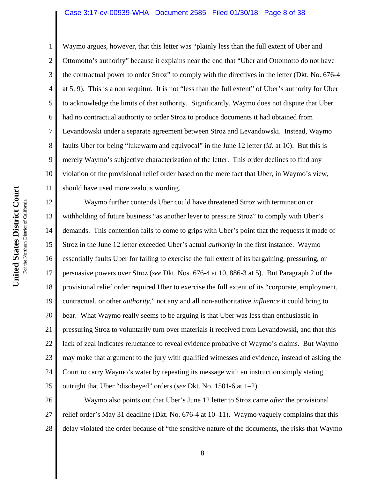#### Case 3:17-cv-00939-WHA Document 2585 Filed 01/30/18 Page 8 of 38

1

2 3 4 5 Waymo argues, however, that this letter was "plainly less than the full extent of Uber and Ottomotto's authority" because it explains near the end that "Uber and Ottomotto do not have the contractual power to order Stroz" to comply with the directives in the letter (Dkt. No. 676-4 at 5, 9). This is a non sequitur. It is not "less than the full extent" of Uber's authority for Uber to acknowledge the limits of that authority. Significantly, Waymo does not dispute that Uber had no contractual authority to order Stroz to produce documents it had obtained from Levandowski under a separate agreement between Stroz and Levandowski. Instead, Waymo faults Uber for being "lukewarm and equivocal" in the June 12 letter (*id.* at 10). But this is merely Waymo's subjective characterization of the letter. This order declines to find any violation of the provisional relief order based on the mere fact that Uber, in Waymo's view, should have used more zealous wording.

17 18 19 20 21 22 23 24 25 Waymo further contends Uber could have threatened Stroz with termination or withholding of future business "as another lever to pressure Stroz" to comply with Uber's demands. This contention fails to come to grips with Uber's point that the requests it made of Stroz in the June 12 letter exceeded Uber's actual *authority* in the first instance. Waymo essentially faults Uber for failing to exercise the full extent of its bargaining, pressuring, or persuasive powers over Stroz (*see* Dkt. Nos. 676-4 at 10, 886-3 at 5). But Paragraph 2 of the provisional relief order required Uber to exercise the full extent of its "corporate, employment, contractual, or other *authority*," not any and all non-authoritative *influence* it could bring to bear. What Waymo really seems to be arguing is that Uber was less than enthusiastic in pressuring Stroz to voluntarily turn over materials it received from Levandowski, and that this lack of zeal indicates reluctance to reveal evidence probative of Waymo's claims. But Waymo may make that argument to the jury with qualified witnesses and evidence, instead of asking the Court to carry Waymo's water by repeating its message with an instruction simply stating outright that Uber "disobeyed" orders (*see* Dkt. No. 1501-6 at 1–2).

26 27 28 Waymo also points out that Uber's June 12 letter to Stroz came *after* the provisional relief order's May 31 deadline (Dkt. No. 676-4 at 10–11). Waymo vaguely complains that this delay violated the order because of "the sensitive nature of the documents, the risks that Waymo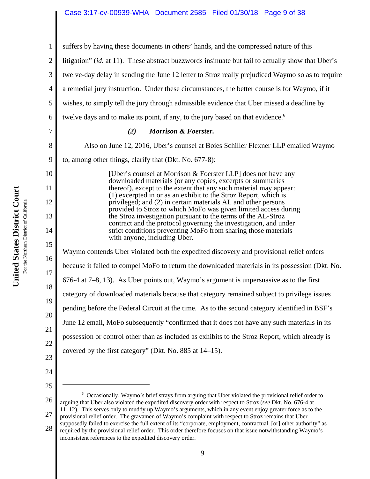# Case 3:17-cv-00939-WHA Document 2585 Filed 01/30/18 Page 9 of 38

| 1              | suffers by having these documents in others' hands, and the compressed nature of this                                                                                                                                                                                                                                                     |  |  |  |
|----------------|-------------------------------------------------------------------------------------------------------------------------------------------------------------------------------------------------------------------------------------------------------------------------------------------------------------------------------------------|--|--|--|
| 2              | litigation" (id. at 11). These abstract buzzwords insinuate but fail to actually show that Uber's                                                                                                                                                                                                                                         |  |  |  |
| 3              | twelve-day delay in sending the June 12 letter to Stroz really prejudiced Waymo so as to require                                                                                                                                                                                                                                          |  |  |  |
| $\overline{4}$ | a remedial jury instruction. Under these circumstances, the better course is for Waymo, if it                                                                                                                                                                                                                                             |  |  |  |
| 5              | wishes, to simply tell the jury through admissible evidence that Uber missed a deadline by                                                                                                                                                                                                                                                |  |  |  |
| 6              | twelve days and to make its point, if any, to the jury based on that evidence. <sup>6</sup>                                                                                                                                                                                                                                               |  |  |  |
| $\overline{7}$ | (2)<br><b>Morrison &amp; Foerster.</b>                                                                                                                                                                                                                                                                                                    |  |  |  |
| 8              | Also on June 12, 2016, Uber's counsel at Boies Schiller Flexner LLP emailed Waymo                                                                                                                                                                                                                                                         |  |  |  |
| 9              | to, among other things, clarify that (Dkt. No. 677-8):                                                                                                                                                                                                                                                                                    |  |  |  |
| 10             | [Uber's counsel at Morrison & Foerster LLP] does not have any<br>downloaded materials (or any copies, excerpts or summaries                                                                                                                                                                                                               |  |  |  |
| 11<br>12       | thereof), except to the extent that any such material may appear:<br>(1) excerpted in or as an exhibit to the Stroz Report, which is<br>privileged; and (2) in certain materials AL and other persons<br>provided to Stroz to which MoFo was given limited access during<br>the Stroz investigation pursuant to the terms of the AL-Stroz |  |  |  |
| 13             |                                                                                                                                                                                                                                                                                                                                           |  |  |  |
| 14             | contract and the protocol governing the investigation, and under<br>strict conditions preventing MoFo from sharing those materials<br>with anyone, including Uber.                                                                                                                                                                        |  |  |  |
| 15<br>16       | Waymo contends Uber violated both the expedited discovery and provisional relief orders                                                                                                                                                                                                                                                   |  |  |  |
| 17             | because it failed to compel MoFo to return the downloaded materials in its possession (Dkt. No.                                                                                                                                                                                                                                           |  |  |  |
| 18             | $676-4$ at $7-8$ , 13). As Uber points out, Waymo's argument is unpersuasive as to the first                                                                                                                                                                                                                                              |  |  |  |
| 19             | category of downloaded materials because that category remained subject to privilege issues                                                                                                                                                                                                                                               |  |  |  |
| 20             | pending before the Federal Circuit at the time. As to the second category identified in BSF's                                                                                                                                                                                                                                             |  |  |  |
| 21             | June 12 email, MoFo subsequently "confirmed that it does not have any such materials in its                                                                                                                                                                                                                                               |  |  |  |
| 22             | possession or control other than as included as exhibits to the Stroz Report, which already is                                                                                                                                                                                                                                            |  |  |  |
| 23             | covered by the first category" (Dkt. No. 885 at 14–15).                                                                                                                                                                                                                                                                                   |  |  |  |
| 24             |                                                                                                                                                                                                                                                                                                                                           |  |  |  |
| 25             |                                                                                                                                                                                                                                                                                                                                           |  |  |  |

26 27 28 6 Occasionally, Waymo's brief strays from arguing that Uber violated the provisional relief order to arguing that Uber also violated the expedited discovery order with respect to Stroz (*see* Dkt. No. 676-4 at 11–12). This serves only to muddy up Waymo's arguments, which in any event enjoy greater force as to the provisional relief order. The gravamen of Waymo's complaint with respect to Stroz remains that Uber supposedly failed to exercise the full extent of its "corporate, employment, contractual, [or] other authority" as required by the provisional relief order. This order therefore focuses on that issue notwithstanding Waymo's inconsistent references to the expedited discovery order.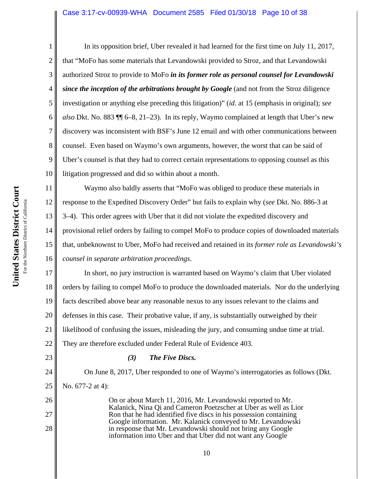#### Case 3:17-cv-00939-WHA Document 2585 Filed 01/30/18 Page 10 of 38

1 2 3 4 5 6 7 8 9 10 In its opposition brief, Uber revealed it had learned for the first time on July 11, 2017, that "MoFo has some materials that Levandowski provided to Stroz, and that Levandowski authorized Stroz to provide to MoFo *in its former role as personal counsel for Levandowski since the inception of the arbitrations brought by Google* (and not from the Stroz diligence investigation or anything else preceding this litigation)" (*id.* at 15 (emphasis in original); *see also* Dkt. No. 883 ¶¶ 6–8, 21–23). In its reply, Waymo complained at length that Uber's new discovery was inconsistent with BSF's June 12 email and with other communications between counsel. Even based on Waymo's own arguments, however, the worst that can be said of Uber's counsel is that they had to correct certain representations to opposing counsel as this litigation progressed and did so within about a month.

11 12 13 14 15 16 Waymo also baldly asserts that "MoFo was obliged to produce these materials in response to the Expedited Discovery Order" but fails to explain why (*see* Dkt. No. 886-3 at 3–4). This order agrees with Uber that it did not violate the expedited discovery and provisional relief orders by failing to compel MoFo to produce copies of downloaded materials that, unbeknownst to Uber, MoFo had received and retained in its *former role as Levandowski's counsel in separate arbitration proceedings*.

17 18 19 20 21 22 In short, no jury instruction is warranted based on Waymo's claim that Uber violated orders by failing to compel MoFo to produce the downloaded materials. Nor do the underlying facts described above bear any reasonable nexus to any issues relevant to the claims and defenses in this case. Their probative value, if any, is substantially outweighed by their likelihood of confusing the issues, misleading the jury, and consuming undue time at trial. They are therefore excluded under Federal Rule of Evidence 403.

*(3) The Five Discs.*

- 24 25 26
- 

No. 677-2 at 4):

23

- 
- 27

28

On or about March 11, 2016, Mr. Levandowski reported to Mr. Kalanick, Nina Qi and Cameron Poetzscher at Uber as well as Lior Ron that he had identified five discs in his possession containing Google information. Mr. Kalanick conveyed to Mr. Levandowski in response that Mr. Levandowski should not bring any Google information into Uber and that Uber did not want any Google

On June 8, 2017, Uber responded to one of Waymo's interrogatories as follows (Dkt.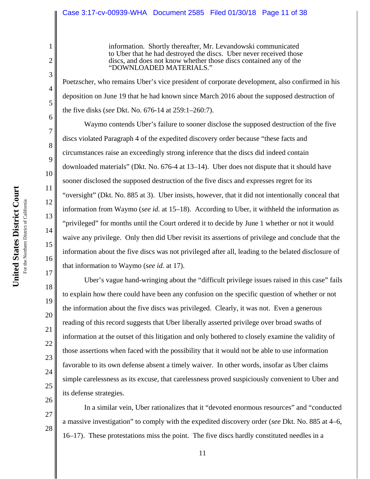### Case 3:17-cv-00939-WHA Document 2585 Filed 01/30/18 Page 11 of 38

information. Shortly thereafter, Mr. Levandowski communicated to Uber that he had destroyed the discs. Uber never received those discs, and does not know whether those discs contained any of the "DOWNLOADED MATERIALS."

Poetzscher, who remains Uber's vice president of corporate development, also confirmed in his deposition on June 19 that he had known since March 2016 about the supposed destruction of the five disks (*see* Dkt. No. 676-14 at 259:1–260:7).

Waymo contends Uber's failure to sooner disclose the supposed destruction of the five discs violated Paragraph 4 of the expedited discovery order because "these facts and circumstances raise an exceedingly strong inference that the discs did indeed contain downloaded materials" (Dkt. No. 676-4 at 13–14). Uber does not dispute that it should have sooner disclosed the supposed destruction of the five discs and expresses regret for its "oversight" (Dkt. No. 885 at 3). Uber insists, however, that it did not intentionally conceal that information from Waymo (*see id.* at 15–18). According to Uber, it withheld the information as "privileged" for months until the Court ordered it to decide by June 1 whether or not it would waive any privilege. Only then did Uber revisit its assertions of privilege and conclude that the information about the five discs was not privileged after all, leading to the belated disclosure of that information to Waymo (*see id.* at 17).

Uber's vague hand-wringing about the "difficult privilege issues raised in this case" fails to explain how there could have been any confusion on the specific question of whether or not the information about the five discs was privileged. Clearly, it was not. Even a generous reading of this record suggests that Uber liberally asserted privilege over broad swaths of information at the outset of this litigation and only bothered to closely examine the validity of those assertions when faced with the possibility that it would not be able to use information favorable to its own defense absent a timely waiver. In other words, insofar as Uber claims simple carelessness as its excuse, that carelessness proved suspiciously convenient to Uber and its defense strategies.

In a similar vein, Uber rationalizes that it "devoted enormous resources" and "conducted a massive investigation" to comply with the expedited discovery order (*see* Dkt. No. 885 at 4–6, 16–17). These protestations miss the point. The five discs hardly constituted needles in a

1

2

3

4

5

6

7

8

9

10

11

12

13

14

15

16

17

18

19

20

21

22

**United States District Court**

United States District Court

27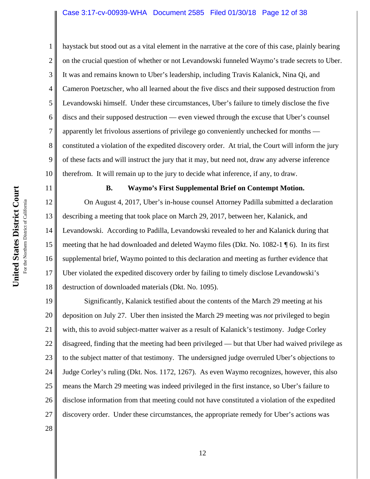#### Case 3:17-cv-00939-WHA Document 2585 Filed 01/30/18 Page 12 of 38

haystack but stood out as a vital element in the narrative at the core of this case, plainly bearing on the crucial question of whether or not Levandowski funneled Waymo's trade secrets to Uber. It was and remains known to Uber's leadership, including Travis Kalanick, Nina Qi, and Cameron Poetzscher, who all learned about the five discs and their supposed destruction from Levandowski himself. Under these circumstances, Uber's failure to timely disclose the five discs and their supposed destruction — even viewed through the excuse that Uber's counsel apparently let frivolous assertions of privilege go conveniently unchecked for months constituted a violation of the expedited discovery order. At trial, the Court will inform the jury of these facts and will instruct the jury that it may, but need not, draw any adverse inference therefrom. It will remain up to the jury to decide what inference, if any, to draw.

#### **B. Waymo's First Supplemental Brief on Contempt Motion.**

12 13 14 15 16 17 18 On August 4, 2017, Uber's in-house counsel Attorney Padilla submitted a declaration describing a meeting that took place on March 29, 2017, between her, Kalanick, and Levandowski. According to Padilla, Levandowski revealed to her and Kalanick during that meeting that he had downloaded and deleted Waymo files (Dkt. No. 1082-1 ¶ 6). In its first supplemental brief, Waymo pointed to this declaration and meeting as further evidence that Uber violated the expedited discovery order by failing to timely disclose Levandowski's destruction of downloaded materials (Dkt. No. 1095).

19 20 21 22 23 24 25 26 27 Significantly, Kalanick testified about the contents of the March 29 meeting at his deposition on July 27. Uber then insisted the March 29 meeting was *not* privileged to begin with, this to avoid subject-matter waiver as a result of Kalanick's testimony. Judge Corley disagreed, finding that the meeting had been privileged — but that Uber had waived privilege as to the subject matter of that testimony. The undersigned judge overruled Uber's objections to Judge Corley's ruling (Dkt. Nos. 1172, 1267). As even Waymo recognizes, however, this also means the March 29 meeting was indeed privileged in the first instance, so Uber's failure to disclose information from that meeting could not have constituted a violation of the expedited discovery order. Under these circumstances, the appropriate remedy for Uber's actions was

United States District Court **United States District Court** For the Northern District of California For the Northern District of California 1

2

3

4

5

6

7

8

9

10

11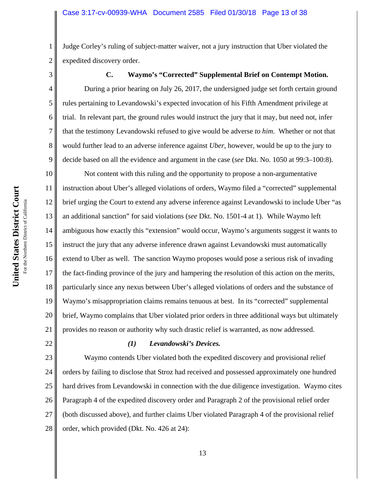Judge Corley's ruling of subject-matter waiver, not a jury instruction that Uber violated the expedited discovery order.

3

4

5

6

7

8

9

1

2

# **C. Waymo's "Corrected" Supplemental Brief on Contempt Motion.**

During a prior hearing on July 26, 2017, the undersigned judge set forth certain ground rules pertaining to Levandowski's expected invocation of his Fifth Amendment privilege at trial. In relevant part, the ground rules would instruct the jury that it may, but need not, infer that the testimony Levandowski refused to give would be adverse *to him*. Whether or not that would further lead to an adverse inference against *Uber*, however, would be up to the jury to decide based on all the evidence and argument in the case (*see* Dkt. No. 1050 at 99:3–100:8).

10 11 12 13 14 15 16 17 18 19 20 21 Not content with this ruling and the opportunity to propose a non-argumentative instruction about Uber's alleged violations of orders, Waymo filed a "corrected" supplemental brief urging the Court to extend any adverse inference against Levandowski to include Uber "as an additional sanction" for said violations (*see* Dkt. No. 1501-4 at 1). While Waymo left ambiguous how exactly this "extension" would occur, Waymo's arguments suggest it wants to instruct the jury that any adverse inference drawn against Levandowski must automatically extend to Uber as well. The sanction Waymo proposes would pose a serious risk of invading the fact-finding province of the jury and hampering the resolution of this action on the merits, particularly since any nexus between Uber's alleged violations of orders and the substance of Waymo's misappropriation claims remains tenuous at best. In its "corrected" supplemental brief, Waymo complains that Uber violated prior orders in three additional ways but ultimately provides no reason or authority why such drastic relief is warranted, as now addressed.

22

#### *(1) Levandowski's Devices.*

23 24 25 26 27 28 Waymo contends Uber violated both the expedited discovery and provisional relief orders by failing to disclose that Stroz had received and possessed approximately one hundred hard drives from Levandowski in connection with the due diligence investigation. Waymo cites Paragraph 4 of the expedited discovery order and Paragraph 2 of the provisional relief order (both discussed above), and further claims Uber violated Paragraph 4 of the provisional relief order, which provided (Dkt. No. 426 at 24):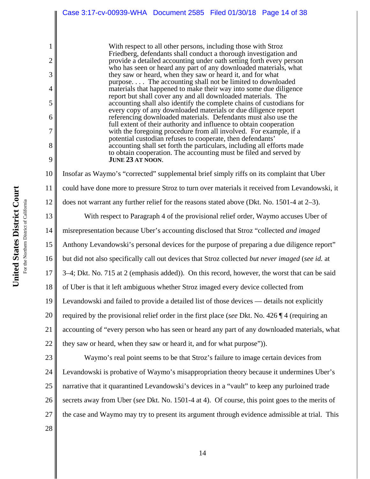|                | Case 3:17-cv-00939-WHA Document 2585 Filed 01/30/18 Page 14 of 38                                                                       |  |  |
|----------------|-----------------------------------------------------------------------------------------------------------------------------------------|--|--|
|                |                                                                                                                                         |  |  |
| 1              | With respect to all other persons, including those with Stroz                                                                           |  |  |
| $\overline{2}$ | Friedberg, defendants shall conduct a thorough investigation and<br>provide a detailed accounting under oath setting forth every person |  |  |
| 3              | who has seen or heard any part of any downloaded materials, what<br>they saw or heard, when they saw or heard it, and for what          |  |  |
| 4              | purpose The accounting shall not be limited to downloaded<br>materials that happened to make their way into some due diligence          |  |  |
| 5              | report but shall cover any and all downloaded materials. The<br>accounting shall also identify the complete chains of custodians for    |  |  |
| 6              | every copy of any downloaded materials or due diligence report<br>referencing downloaded materials. Defendants must also use the        |  |  |
| 7              | full extent of their authority and influence to obtain cooperation<br>with the foregoing procedure from all involved. For example, if a |  |  |
| 8              | potential custodian refuses to cooperate, then defendants'<br>accounting shall set forth the particulars, including all efforts made    |  |  |
| 9              | to obtain cooperation. The accounting must be filed and served by<br>JUNE 23 AT NOON.                                                   |  |  |
| 10             | Insofar as Waymo's "corrected" supplemental brief simply riffs on its complaint that Uber                                               |  |  |
| 11             | could have done more to pressure Stroz to turn over materials it received from Levandowski, it                                          |  |  |
| 12             | does not warrant any further relief for the reasons stated above (Dkt. No. 1501-4 at $2-3$ ).                                           |  |  |
| 13             | With respect to Paragraph 4 of the provisional relief order, Waymo accuses Uber of                                                      |  |  |
| 14             | misrepresentation because Uber's accounting disclosed that Stroz "collected and imaged                                                  |  |  |
| 15             | Anthony Levandowski's personal devices for the purpose of preparing a due diligence report"                                             |  |  |
| 16             | but did not also specifically call out devices that Stroz collected but never imaged (see id. at                                        |  |  |
| 17             | 3–4; Dkt. No. 715 at 2 (emphasis added)). On this record, however, the worst that can be said                                           |  |  |
| 18             | of Uber is that it left ambiguous whether Stroz imaged every device collected from                                                      |  |  |
| 19             | Levandowski and failed to provide a detailed list of those devices — details not explicitly                                             |  |  |
| 20             | required by the provisional relief order in the first place (see Dkt. No. 426 $\P$ 4 (requiring an                                      |  |  |
| 21             | accounting of "every person who has seen or heard any part of any downloaded materials, what                                            |  |  |
| 22             | they saw or heard, when they saw or heard it, and for what purpose").                                                                   |  |  |
| 23             | Waymo's real point seems to be that Stroz's failure to image certain devices from                                                       |  |  |
| 24             | Levandowski is probative of Waymo's misappropriation theory because it undermines Uber's                                                |  |  |
| 25             | narrative that it quarantined Levandowski's devices in a "vault" to keep any purloined trade                                            |  |  |
| 26             | secrets away from Uber (see Dkt. No. 1501-4 at 4). Of course, this point goes to the merits of                                          |  |  |
| 27             | the case and Waymo may try to present its argument through evidence admissible at trial. This                                           |  |  |
| 28             |                                                                                                                                         |  |  |
|                |                                                                                                                                         |  |  |

United States District Court **United States District Court** For the Northern District of California For the Northern District of California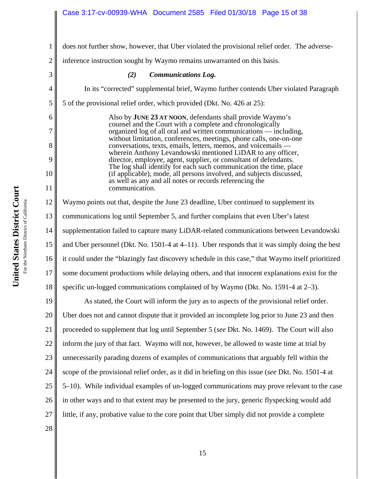does not further show, however, that Uber violated the provisional relief order. The adverse-

2 inference instruction sought by Waymo remains unwarranted on this basis.

| 3  | <b>Communications Log.</b><br>(2)                                                                                                                                                                                                                                                                                                                                                                                      |  |  |
|----|------------------------------------------------------------------------------------------------------------------------------------------------------------------------------------------------------------------------------------------------------------------------------------------------------------------------------------------------------------------------------------------------------------------------|--|--|
| 4  | In its "corrected" supplemental brief, Waymo further contends Uber violated Paragraph                                                                                                                                                                                                                                                                                                                                  |  |  |
| 5  | 5 of the provisional relief order, which provided (Dkt. No. 426 at 25):                                                                                                                                                                                                                                                                                                                                                |  |  |
| 6  | Also by JUNE 23 AT NOON, defendants shall provide Waymo's                                                                                                                                                                                                                                                                                                                                                              |  |  |
| 7  | counsel and the Court with a complete and chronologically<br>organized log of all oral and written communications — including,                                                                                                                                                                                                                                                                                         |  |  |
| 8  | without limitation, conferences, meetings, phone calls, one-on-one<br>conversations, texts, emails, letters, memos, and voicemails —<br>wherein Anthony Levandowski mentioned LiDAR to any officer,<br>director, employee, agent, supplier, or consultant of defendants.<br>The log shall identify for each such communication the time, place<br>(if applicable), mode, all persons involved, and subjects discussed, |  |  |
| 9  |                                                                                                                                                                                                                                                                                                                                                                                                                        |  |  |
| 10 |                                                                                                                                                                                                                                                                                                                                                                                                                        |  |  |
| 11 | as well as any and all notes or records referencing the<br>communication.                                                                                                                                                                                                                                                                                                                                              |  |  |
| 12 | Waymo points out that, despite the June 23 deadline, Uber continued to supplement its                                                                                                                                                                                                                                                                                                                                  |  |  |
| 13 | communications log until September 5, and further complains that even Uber's latest                                                                                                                                                                                                                                                                                                                                    |  |  |
| 14 | supplementation failed to capture many LiDAR-related communications between Levandowski                                                                                                                                                                                                                                                                                                                                |  |  |
| 15 | and Uber personnel (Dkt. No. 1501-4 at 4–11). Uber responds that it was simply doing the best                                                                                                                                                                                                                                                                                                                          |  |  |
| 16 | it could under the "blazingly fast discovery schedule in this case," that Waymo itself prioritized                                                                                                                                                                                                                                                                                                                     |  |  |
| 17 | some document productions while delaying others, and that innocent explanations exist for the                                                                                                                                                                                                                                                                                                                          |  |  |
| 18 | specific un-logged communications complained of by Waymo (Dkt. No. 1591-4 at 2–3).                                                                                                                                                                                                                                                                                                                                     |  |  |
| 19 | As stated, the Court will inform the jury as to aspects of the provisional relief order.                                                                                                                                                                                                                                                                                                                               |  |  |
| 20 | Uber does not and cannot dispute that it provided an incomplete log prior to June 23 and then                                                                                                                                                                                                                                                                                                                          |  |  |
| 21 | proceeded to supplement that log until September 5 (see Dkt. No. 1469). The Court will also                                                                                                                                                                                                                                                                                                                            |  |  |
| 22 | inform the jury of that fact. Waymo will not, however, be allowed to waste time at trial by                                                                                                                                                                                                                                                                                                                            |  |  |
| 23 | unnecessarily parading dozens of examples of communications that arguably fell within the                                                                                                                                                                                                                                                                                                                              |  |  |

scope of the provisional relief order, as it did in briefing on this issue (*see* Dkt. No. 1501-4 at

5–10). While individual examples of un-logged communications may prove relevant to the case

26 in other ways and to that extent may be presented to the jury, generic flyspecking would add

27 little, if any, probative value to the core point that Uber simply did not provide a complete

United States District Court **United States District Court** For the Northern District of California For the Northern District of California

24

25

28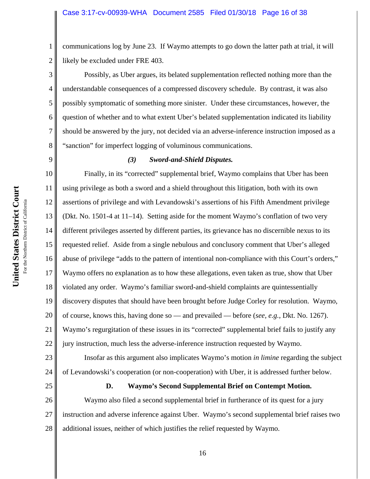communications log by June 23. If Waymo attempts to go down the latter path at trial, it will likely be excluded under FRE 403.

Possibly, as Uber argues, its belated supplementation reflected nothing more than the understandable consequences of a compressed discovery schedule. By contrast, it was also possibly symptomatic of something more sinister. Under these circumstances, however, the question of whether and to what extent Uber's belated supplementation indicated its liability should be answered by the jury, not decided via an adverse-inference instruction imposed as a "sanction" for imperfect logging of voluminous communications.

# 9

1

2

3

4

5

6

7

8

# *(3) Sword-and-Shield Disputes.*

10 11 12 13 14 15 16 17 18 19 20 21 22 Finally, in its "corrected" supplemental brief, Waymo complains that Uber has been using privilege as both a sword and a shield throughout this litigation, both with its own assertions of privilege and with Levandowski's assertions of his Fifth Amendment privilege (Dkt. No. 1501-4 at 11–14). Setting aside for the moment Waymo's conflation of two very different privileges asserted by different parties, its grievance has no discernible nexus to its requested relief. Aside from a single nebulous and conclusory comment that Uber's alleged abuse of privilege "adds to the pattern of intentional non-compliance with this Court's orders," Waymo offers no explanation as to how these allegations, even taken as true, show that Uber violated any order. Waymo's familiar sword-and-shield complaints are quintessentially discovery disputes that should have been brought before Judge Corley for resolution. Waymo, of course, knows this, having done so — and prevailed — before (*see, e.g.*, Dkt. No. 1267). Waymo's regurgitation of these issues in its "corrected" supplemental brief fails to justify any jury instruction, much less the adverse-inference instruction requested by Waymo.

23 24 Insofar as this argument also implicates Waymo's motion *in limine* regarding the subject of Levandowski's cooperation (or non-cooperation) with Uber, it is addressed further below.

25

# **D. Waymo's Second Supplemental Brief on Contempt Motion.**

26 27 28 Waymo also filed a second supplemental brief in furtherance of its quest for a jury instruction and adverse inference against Uber. Waymo's second supplemental brief raises two additional issues, neither of which justifies the relief requested by Waymo.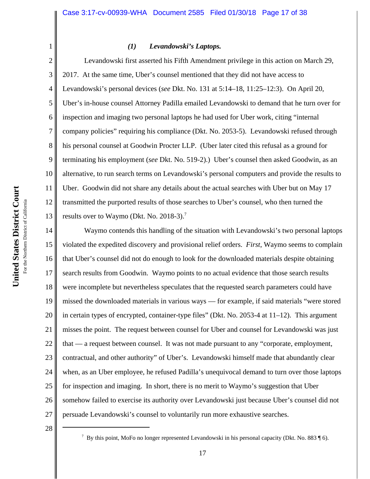# 2 3 4

1

*(1) Levandowski's Laptops.*

5 6 7 8 9 10 11 12 13 Levandowski first asserted his Fifth Amendment privilege in this action on March 29, 2017. At the same time, Uber's counsel mentioned that they did not have access to Levandowski's personal devices (*see* Dkt. No. 131 at 5:14–18, 11:25–12:3). On April 20, Uber's in-house counsel Attorney Padilla emailed Levandowski to demand that he turn over for inspection and imaging two personal laptops he had used for Uber work, citing "internal company policies" requiring his compliance (Dkt. No. 2053-5). Levandowski refused through his personal counsel at Goodwin Procter LLP. (Uber later cited this refusal as a ground for terminating his employment (*see* Dkt. No. 519-2).) Uber's counsel then asked Goodwin, as an alternative, to run search terms on Levandowski's personal computers and provide the results to Uber. Goodwin did not share any details about the actual searches with Uber but on May 17 transmitted the purported results of those searches to Uber's counsel, who then turned the results over to Waymo (Dkt. No. 2018-3).<sup>7</sup>

14 15 16 17 18 19 20 21 22 23 24 25 26 27 Waymo contends this handling of the situation with Levandowski's two personal laptops violated the expedited discovery and provisional relief orders. *First*, Waymo seems to complain that Uber's counsel did not do enough to look for the downloaded materials despite obtaining search results from Goodwin. Waymo points to no actual evidence that those search results were incomplete but nevertheless speculates that the requested search parameters could have missed the downloaded materials in various ways — for example, if said materials "were stored in certain types of encrypted, container-type files" (Dkt. No. 2053-4 at 11–12). This argument misses the point. The request between counsel for Uber and counsel for Levandowski was just that — a request between counsel. It was not made pursuant to any "corporate, employment, contractual, and other authority" of Uber's. Levandowski himself made that abundantly clear when, as an Uber employee, he refused Padilla's unequivocal demand to turn over those laptops for inspection and imaging. In short, there is no merit to Waymo's suggestion that Uber somehow failed to exercise its authority over Levandowski just because Uber's counsel did not persuade Levandowski's counsel to voluntarily run more exhaustive searches.

<sup>&</sup>lt;sup>7</sup> By this point, MoFo no longer represented Levandowski in his personal capacity (Dkt. No. 883  $\P$  6).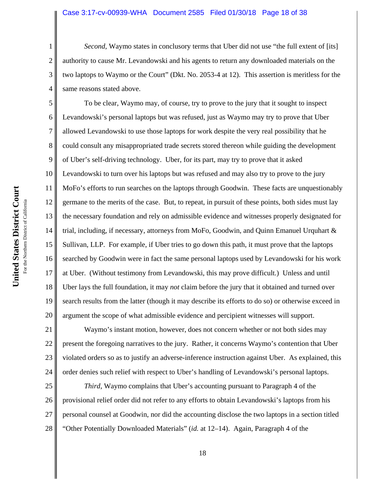#### Case 3:17-cv-00939-WHA Document 2585 Filed 01/30/18 Page 18 of 38

*Second*, Waymo states in conclusory terms that Uber did not use "the full extent of [its] authority to cause Mr. Levandowski and his agents to return any downloaded materials on the two laptops to Waymo or the Court" (Dkt. No. 2053-4 at 12). This assertion is meritless for the same reasons stated above.

5 6 7 8 9 10 11 12 13 14 15 16 17 18 19 20 To be clear, Waymo may, of course, try to prove to the jury that it sought to inspect Levandowski's personal laptops but was refused, just as Waymo may try to prove that Uber allowed Levandowski to use those laptops for work despite the very real possibility that he could consult any misappropriated trade secrets stored thereon while guiding the development of Uber's self-driving technology. Uber, for its part, may try to prove that it asked Levandowski to turn over his laptops but was refused and may also try to prove to the jury MoFo's efforts to run searches on the laptops through Goodwin. These facts are unquestionably germane to the merits of the case. But, to repeat, in pursuit of these points, both sides must lay the necessary foundation and rely on admissible evidence and witnesses properly designated for trial, including, if necessary, attorneys from MoFo, Goodwin, and Quinn Emanuel Urquhart & Sullivan, LLP. For example, if Uber tries to go down this path, it must prove that the laptops searched by Goodwin were in fact the same personal laptops used by Levandowski for his work at Uber. (Without testimony from Levandowski, this may prove difficult.) Unless and until Uber lays the full foundation, it may *not* claim before the jury that it obtained and turned over search results from the latter (though it may describe its efforts to do so) or otherwise exceed in argument the scope of what admissible evidence and percipient witnesses will support.

21 22 23 24 Waymo's instant motion, however, does not concern whether or not both sides may present the foregoing narratives to the jury. Rather, it concerns Waymo's contention that Uber violated orders so as to justify an adverse-inference instruction against Uber. As explained, this order denies such relief with respect to Uber's handling of Levandowski's personal laptops.

25 26 27 28 *Third*, Waymo complains that Uber's accounting pursuant to Paragraph 4 of the provisional relief order did not refer to any efforts to obtain Levandowski's laptops from his personal counsel at Goodwin, nor did the accounting disclose the two laptops in a section titled "Other Potentially Downloaded Materials" (*id.* at 12–14). Again, Paragraph 4 of the

1

2

3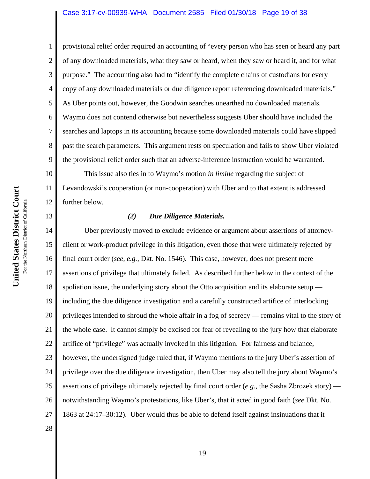#### Case 3:17-cv-00939-WHA Document 2585 Filed 01/30/18 Page 19 of 38

provisional relief order required an accounting of "every person who has seen or heard any part of any downloaded materials, what they saw or heard, when they saw or heard it, and for what purpose." The accounting also had to "identify the complete chains of custodians for every copy of any downloaded materials or due diligence report referencing downloaded materials." As Uber points out, however, the Goodwin searches unearthed no downloaded materials. Waymo does not contend otherwise but nevertheless suggests Uber should have included the searches and laptops in its accounting because some downloaded materials could have slipped past the search parameters. This argument rests on speculation and fails to show Uber violated the provisional relief order such that an adverse-inference instruction would be warranted.

10 11 12 This issue also ties in to Waymo's motion *in limine* regarding the subject of Levandowski's cooperation (or non-cooperation) with Uber and to that extent is addressed further below.

# *(2) Due Diligence Materials.*

14 15 16 17 18 19 20 21 22 23 24 25 26 27 Uber previously moved to exclude evidence or argument about assertions of attorneyclient or work-product privilege in this litigation, even those that were ultimately rejected by final court order (*see, e.g.*, Dkt. No. 1546). This case, however, does not present mere assertions of privilege that ultimately failed. As described further below in the context of the spoliation issue, the underlying story about the Otto acquisition and its elaborate setup including the due diligence investigation and a carefully constructed artifice of interlocking privileges intended to shroud the whole affair in a fog of secrecy — remains vital to the story of the whole case. It cannot simply be excised for fear of revealing to the jury how that elaborate artifice of "privilege" was actually invoked in this litigation. For fairness and balance, however, the undersigned judge ruled that, if Waymo mentions to the jury Uber's assertion of privilege over the due diligence investigation, then Uber may also tell the jury about Waymo's assertions of privilege ultimately rejected by final court order (*e.g.*, the Sasha Zbrozek story) notwithstanding Waymo's protestations, like Uber's, that it acted in good faith (*see* Dkt. No. 1863 at 24:17–30:12). Uber would thus be able to defend itself against insinuations that it

1

2

3

4

5

6

7

8

9

13

28

**United States District Court**

United States District Court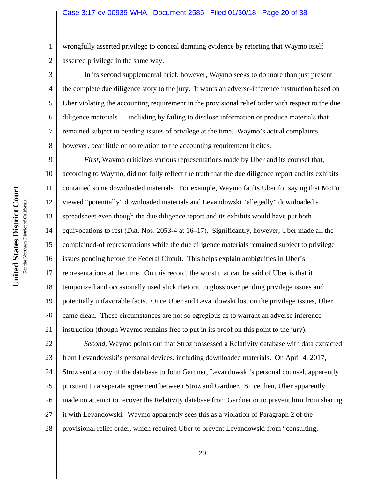wrongfully asserted privilege to conceal damning evidence by retorting that Waymo itself asserted privilege in the same way.

In its second supplemental brief, however, Waymo seeks to do more than just present the complete due diligence story to the jury. It wants an adverse-inference instruction based on Uber violating the accounting requirement in the provisional relief order with respect to the due diligence materials — including by failing to disclose information or produce materials that remained subject to pending issues of privilege at the time. Waymo's actual complaints, however, bear little or no relation to the accounting requirement it cites.

9 10 11 12 13 14 15 16 17 18 19 20 21 *First*, Waymo criticizes various representations made by Uber and its counsel that, according to Waymo, did not fully reflect the truth that the due diligence report and its exhibits contained some downloaded materials. For example, Waymo faults Uber for saying that MoFo viewed "potentially" downloaded materials and Levandowski "allegedly" downloaded a spreadsheet even though the due diligence report and its exhibits would have put both equivocations to rest (Dkt. Nos. 2053-4 at 16–17). Significantly, however, Uber made all the complained-of representations while the due diligence materials remained subject to privilege issues pending before the Federal Circuit. This helps explain ambiguities in Uber's representations at the time. On this record, the worst that can be said of Uber is that it temporized and occasionally used slick rhetoric to gloss over pending privilege issues and potentially unfavorable facts. Once Uber and Levandowski lost on the privilege issues, Uber came clean. These circumstances are not so egregious as to warrant an adverse inference instruction (though Waymo remains free to put in its proof on this point to the jury).

22 23 24 25 26 27 28 *Second*, Waymo points out that Stroz possessed a Relativity database with data extracted from Levandowski's personal devices, including downloaded materials. On April 4, 2017, Stroz sent a copy of the database to John Gardner, Levandowski's personal counsel, apparently pursuant to a separate agreement between Stroz and Gardner. Since then, Uber apparently made no attempt to recover the Relativity database from Gardner or to prevent him from sharing it with Levandowski. Waymo apparently sees this as a violation of Paragraph 2 of the provisional relief order, which required Uber to prevent Levandowski from "consulting,

1

2

3

4

5

6

7

8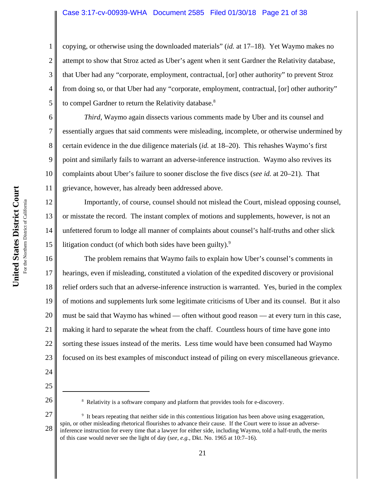### Case 3:17-cv-00939-WHA Document 2585 Filed 01/30/18 Page 21 of 38

copying, or otherwise using the downloaded materials" (*id.* at 17–18). Yet Waymo makes no attempt to show that Stroz acted as Uber's agent when it sent Gardner the Relativity database, that Uber had any "corporate, employment, contractual, [or] other authority" to prevent Stroz from doing so, or that Uber had any "corporate, employment, contractual, [or] other authority" to compel Gardner to return the Relativity database.<sup>8</sup>

*Third*, Waymo again dissects various comments made by Uber and its counsel and essentially argues that said comments were misleading, incomplete, or otherwise undermined by certain evidence in the due diligence materials (*id.* at 18–20). This rehashes Waymo's first point and similarly fails to warrant an adverse-inference instruction. Waymo also revives its complaints about Uber's failure to sooner disclose the five discs (*see id.* at 20–21). That grievance, however, has already been addressed above.

12 13 Importantly, of course, counsel should not mislead the Court, mislead opposing counsel, or misstate the record. The instant complex of motions and supplements, however, is not an unfettered forum to lodge all manner of complaints about counsel's half-truths and other slick litigation conduct (of which both sides have been guilty). $9$ 

16 17 18 19 20 21 22 23 The problem remains that Waymo fails to explain how Uber's counsel's comments in hearings, even if misleading, constituted a violation of the expedited discovery or provisional relief orders such that an adverse-inference instruction is warranted. Yes, buried in the complex of motions and supplements lurk some legitimate criticisms of Uber and its counsel. But it also must be said that Waymo has whined — often without good reason — at every turn in this case, making it hard to separate the wheat from the chaff. Countless hours of time have gone into sorting these issues instead of the merits. Less time would have been consumed had Waymo focused on its best examples of misconduct instead of piling on every miscellaneous grievance.

24

1

2

3

4

5

6

7

8

9

10

11

14

15

25

<sup>&</sup>lt;sup>8</sup> Relativity is a software company and platform that provides tools for e-discovery.

<sup>27</sup> 28 <sup>9</sup> It bears repeating that neither side in this contentious litigation has been above using exaggeration, spin, or other misleading rhetorical flourishes to advance their cause. If the Court were to issue an adverseinference instruction for every time that a lawyer for either side, including Waymo, told a half-truth, the merits of this case would never see the light of day (*see, e.g.*, Dkt. No. 1965 at 10:7–16).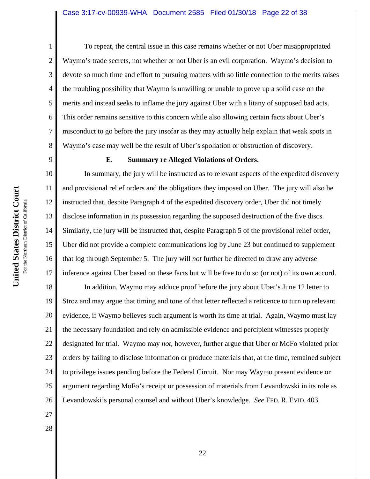#### Case 3:17-cv-00939-WHA Document 2585 Filed 01/30/18 Page 22 of 38

4 To repeat, the central issue in this case remains whether or not Uber misappropriated Waymo's trade secrets, not whether or not Uber is an evil corporation. Waymo's decision to devote so much time and effort to pursuing matters with so little connection to the merits raises the troubling possibility that Waymo is unwilling or unable to prove up a solid case on the merits and instead seeks to inflame the jury against Uber with a litany of supposed bad acts. This order remains sensitive to this concern while also allowing certain facts about Uber's misconduct to go before the jury insofar as they may actually help explain that weak spots in Waymo's case may well be the result of Uber's spoliation or obstruction of discovery.

9

1

2

3

5

6

7

8

# **E. Summary re Alleged Violations of Orders.**

10 11 12 13 14 15 16 17 In summary, the jury will be instructed as to relevant aspects of the expedited discovery and provisional relief orders and the obligations they imposed on Uber. The jury will also be instructed that, despite Paragraph 4 of the expedited discovery order, Uber did not timely disclose information in its possession regarding the supposed destruction of the five discs. Similarly, the jury will be instructed that, despite Paragraph 5 of the provisional relief order, Uber did not provide a complete communications log by June 23 but continued to supplement that log through September 5. The jury will *not* further be directed to draw any adverse inference against Uber based on these facts but will be free to do so (or not) of its own accord.

18 19 20 21 22 23 24 25 26 In addition, Waymo may adduce proof before the jury about Uber's June 12 letter to Stroz and may argue that timing and tone of that letter reflected a reticence to turn up relevant evidence, if Waymo believes such argument is worth its time at trial. Again, Waymo must lay the necessary foundation and rely on admissible evidence and percipient witnesses properly designated for trial. Waymo may *not*, however, further argue that Uber or MoFo violated prior orders by failing to disclose information or produce materials that, at the time, remained subject to privilege issues pending before the Federal Circuit. Nor may Waymo present evidence or argument regarding MoFo's receipt or possession of materials from Levandowski in its role as Levandowski's personal counsel and without Uber's knowledge. *See* FED. R. EVID. 403.

- 27
- 28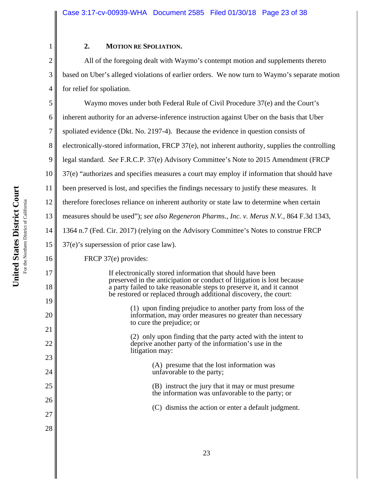# **2. MOTION RE SPOLIATION.**

All of the foregoing dealt with Waymo's contempt motion and supplements thereto based on Uber's alleged violations of earlier orders. We now turn to Waymo's separate motion for relief for spoliation.

5 6 7 8 9 10 11 12 13 14 15 16 17 18 19 20 21 22 23 24 25 26 27 28 Waymo moves under both Federal Rule of Civil Procedure 37(e) and the Court's inherent authority for an adverse-inference instruction against Uber on the basis that Uber spoliated evidence (Dkt. No. 2197-4). Because the evidence in question consists of electronically-stored information, FRCP 37(e), not inherent authority, supplies the controlling legal standard. *See* F.R.C.P. 37(e) Advisory Committee's Note to 2015 Amendment (FRCP 37(e) "authorizes and specifies measures a court may employ if information that should have been preserved is lost, and specifies the findings necessary to justify these measures. It therefore forecloses reliance on inherent authority or state law to determine when certain measures should be used"); *see also Regeneron Pharms., Inc. v. Merus N.V.*, 864 F.3d 1343, 1364 n.7 (Fed. Cir. 2017) (relying on the Advisory Committee's Notes to construe FRCP 37(e)'s supersession of prior case law). FRCP 37(e) provides: If electronically stored information that should have been preserved in the anticipation or conduct of litigation is lost because a party failed to take reasonable steps to preserve it, and it cannot be restored or replaced through additional discovery, the court: (1) upon finding prejudice to another party from loss of the information, may order measures no greater than necessary to cure the prejudice; or (2) only upon finding that the party acted with the intent to deprive another party of the information's use in the litigation may: (A) presume that the lost information was unfavorable to the party; (B) instruct the jury that it may or must presume the information was unfavorable to the party; or (C) dismiss the action or enter a default judgment.

1

2

3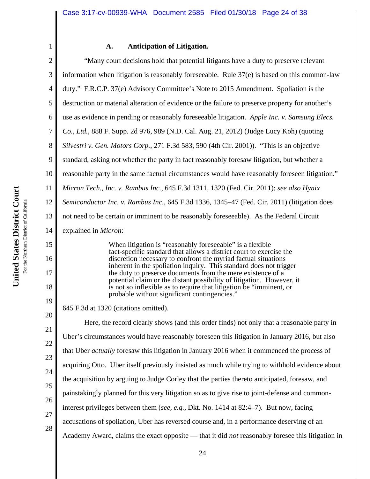# **A. Anticipation of Litigation.**

2 3 4 5 6 7 8 9 10 11 12 13 14 15 16 17 18 19 20 21 22 23 24 25 26 27 28 "Many court decisions hold that potential litigants have a duty to preserve relevant information when litigation is reasonably foreseeable. Rule 37(e) is based on this common-law duty." F.R.C.P. 37(e) Advisory Committee's Note to 2015 Amendment. Spoliation is the destruction or material alteration of evidence or the failure to preserve property for another's use as evidence in pending or reasonably foreseeable litigation. *Apple Inc. v. Samsung Elecs. Co., Ltd.*, 888 F. Supp. 2d 976, 989 (N.D. Cal. Aug. 21, 2012) (Judge Lucy Koh) (quoting *Silvestri v. Gen. Motors Corp.*, 271 F.3d 583, 590 (4th Cir. 2001)). "This is an objective standard, asking not whether the party in fact reasonably foresaw litigation, but whether a reasonable party in the same factual circumstances would have reasonably foreseen litigation." *Micron Tech., Inc. v. Rambus Inc.*, 645 F.3d 1311, 1320 (Fed. Cir. 2011); *see also Hynix Semiconductor Inc. v. Rambus Inc.*, 645 F.3d 1336, 1345–47 (Fed. Cir. 2011) (litigation does not need to be certain or imminent to be reasonably foreseeable). As the Federal Circuit explained in *Micron*: When litigation is "reasonably foreseeable" is a flexible fact-specific standard that allows a district court to exercise the discretion necessary to confront the myriad factual situations inherent in the spoliation inquiry. This standard does not trigger the duty to preserve documents from the mere existence of a potential claim or the distant possibility of litigation. However, it is not so inflexible as to require that litigation be "imminent, or probable without significant contingencies." 645 F.3d at 1320 (citations omitted). Here, the record clearly shows (and this order finds) not only that a reasonable party in Uber's circumstances would have reasonably foreseen this litigation in January 2016, but also that Uber *actually* foresaw this litigation in January 2016 when it commenced the process of acquiring Otto. Uber itself previously insisted as much while trying to withhold evidence about the acquisition by arguing to Judge Corley that the parties thereto anticipated, foresaw, and painstakingly planned for this very litigation so as to give rise to joint-defense and commoninterest privileges between them (*see, e.g.*, Dkt. No. 1414 at 82:4–7). But now, facing accusations of spoliation, Uber has reversed course and, in a performance deserving of an Academy Award, claims the exact opposite — that it did *not* reasonably foresee this litigation in

1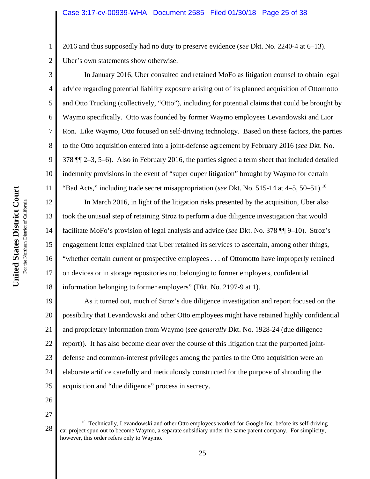2016 and thus supposedly had no duty to preserve evidence (*see* Dkt. No. 2240-4 at 6–13). Uber's own statements show otherwise.

In January 2016, Uber consulted and retained MoFo as litigation counsel to obtain legal advice regarding potential liability exposure arising out of its planned acquisition of Ottomotto and Otto Trucking (collectively, "Otto"), including for potential claims that could be brought by Waymo specifically. Otto was founded by former Waymo employees Levandowski and Lior Ron. Like Waymo, Otto focused on self-driving technology. Based on these factors, the parties to the Otto acquisition entered into a joint-defense agreement by February 2016 (*see* Dkt. No. 378 ¶¶ 2–3, 5–6). Also in February 2016, the parties signed a term sheet that included detailed indemnity provisions in the event of "super duper litigation" brought by Waymo for certain "Bad Acts," including trade secret misappropriation (*see* Dkt. No. 515-14 at 4–5, 50–51).10

12 13 14 15 16 17 18 In March 2016, in light of the litigation risks presented by the acquisition, Uber also took the unusual step of retaining Stroz to perform a due diligence investigation that would facilitate MoFo's provision of legal analysis and advice (*see* Dkt. No. 378 ¶¶ 9–10). Stroz's engagement letter explained that Uber retained its services to ascertain, among other things, "whether certain current or prospective employees . . . of Ottomotto have improperly retained on devices or in storage repositories not belonging to former employers, confidential information belonging to former employers" (Dkt. No. 2197-9 at 1).

19 20 21 22 23 24 25 As it turned out, much of Stroz's due diligence investigation and report focused on the possibility that Levandowski and other Otto employees might have retained highly confidential and proprietary information from Waymo (*see generally* Dkt. No. 1928-24 (due diligence report)). It has also become clear over the course of this litigation that the purported jointdefense and common-interest privileges among the parties to the Otto acquisition were an elaborate artifice carefully and meticulously constructed for the purpose of shrouding the acquisition and "due diligence" process in secrecy.

26 27

1

2

3

4

5

6

7

8

9

10

<sup>28</sup>  $10$  Technically, Levandowski and other Otto employees worked for Google Inc. before its self-driving car project spun out to become Waymo, a separate subsidiary under the same parent company. For simplicity, however, this order refers only to Waymo.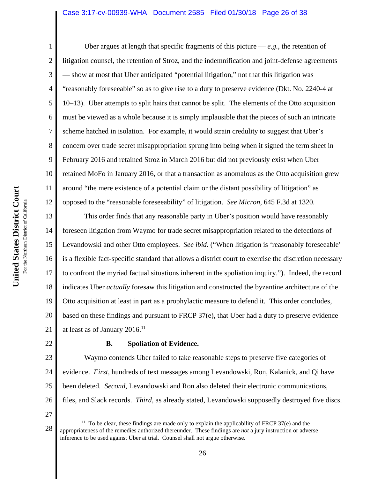### Case 3:17-cv-00939-WHA Document 2585 Filed 01/30/18 Page 26 of 38

1 2 3 4 5 6 7 8 9 10 11 12 Uber argues at length that specific fragments of this picture  $-e.g.,$  the retention of litigation counsel, the retention of Stroz, and the indemnification and joint-defense agreements — show at most that Uber anticipated "potential litigation," not that this litigation was "reasonably foreseeable" so as to give rise to a duty to preserve evidence (Dkt. No. 2240-4 at 10–13). Uber attempts to split hairs that cannot be split. The elements of the Otto acquisition must be viewed as a whole because it is simply implausible that the pieces of such an intricate scheme hatched in isolation. For example, it would strain credulity to suggest that Uber's concern over trade secret misappropriation sprung into being when it signed the term sheet in February 2016 and retained Stroz in March 2016 but did not previously exist when Uber retained MoFo in January 2016, or that a transaction as anomalous as the Otto acquisition grew around "the mere existence of a potential claim or the distant possibility of litigation" as opposed to the "reasonable foreseeability" of litigation. *See Micron*, 645 F.3d at 1320.

13 14 15 16 17 18 19 20 21 This order finds that any reasonable party in Uber's position would have reasonably foreseen litigation from Waymo for trade secret misappropriation related to the defections of Levandowski and other Otto employees. *See ibid.* ("When litigation is 'reasonably foreseeable' is a flexible fact-specific standard that allows a district court to exercise the discretion necessary to confront the myriad factual situations inherent in the spoliation inquiry."). Indeed, the record indicates Uber *actually* foresaw this litigation and constructed the byzantine architecture of the Otto acquisition at least in part as a prophylactic measure to defend it. This order concludes, based on these findings and pursuant to FRCP 37(e), that Uber had a duty to preserve evidence at least as of January 2016.<sup>11</sup>

22

# **B. Spoliation of Evidence.**

23 24 25 26 Waymo contends Uber failed to take reasonable steps to preserve five categories of evidence. *First*, hundreds of text messages among Levandowski, Ron, Kalanick, and Qi have been deleted. *Second*, Levandowski and Ron also deleted their electronic communications, files, and Slack records. *Third*, as already stated, Levandowski supposedly destroyed five discs.

<sup>28</sup>  $11$  To be clear, these findings are made only to explain the applicability of FRCP 37(e) and the appropriateness of the remedies authorized thereunder. These findings are *not* a jury instruction or adverse inference to be used against Uber at trial. Counsel shall not argue otherwise.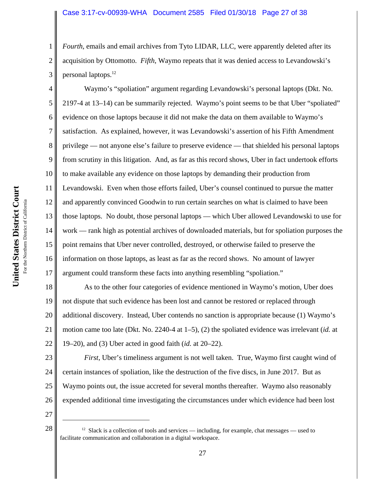# Case 3:17-cv-00939-WHA Document 2585 Filed 01/30/18 Page 27 of 38

*Fourth*, emails and email archives from Tyto LIDAR, LLC, were apparently deleted after its acquisition by Ottomotto. *Fifth*, Waymo repeats that it was denied access to Levandowski's personal laptops.12

10 11 12 13 14 15 16 17 Waymo's "spoliation" argument regarding Levandowski's personal laptops (Dkt. No. 2197-4 at 13–14) can be summarily rejected. Waymo's point seems to be that Uber "spoliated" evidence on those laptops because it did not make the data on them available to Waymo's satisfaction. As explained, however, it was Levandowski's assertion of his Fifth Amendment privilege — not anyone else's failure to preserve evidence — that shielded his personal laptops from scrutiny in this litigation. And, as far as this record shows, Uber in fact undertook efforts to make available any evidence on those laptops by demanding their production from Levandowski. Even when those efforts failed, Uber's counsel continued to pursue the matter and apparently convinced Goodwin to run certain searches on what is claimed to have been those laptops. No doubt, those personal laptops — which Uber allowed Levandowski to use for work — rank high as potential archives of downloaded materials, but for spoliation purposes the point remains that Uber never controlled, destroyed, or otherwise failed to preserve the information on those laptops, as least as far as the record shows. No amount of lawyer argument could transform these facts into anything resembling "spoliation."

18 19 20 21 22 As to the other four categories of evidence mentioned in Waymo's motion, Uber does not dispute that such evidence has been lost and cannot be restored or replaced through additional discovery. Instead, Uber contends no sanction is appropriate because (1) Waymo's motion came too late (Dkt. No. 2240-4 at 1–5), (2) the spoliated evidence was irrelevant (*id.* at 19–20), and (3) Uber acted in good faith (*id.* at 20–22).

23 24 25 26 *First*, Uber's timeliness argument is not well taken. True, Waymo first caught wind of certain instances of spoliation, like the destruction of the five discs, in June 2017. But as Waymo points out, the issue accreted for several months thereafter. Waymo also reasonably expended additional time investigating the circumstances under which evidence had been lost

27

1

2

3

4

5

6

7

8

 $28 \parallel$  <sup>12</sup> Slack is a collection of tools and services — including, for example, chat messages — used to facilitate communication and collaboration in a digital workspace.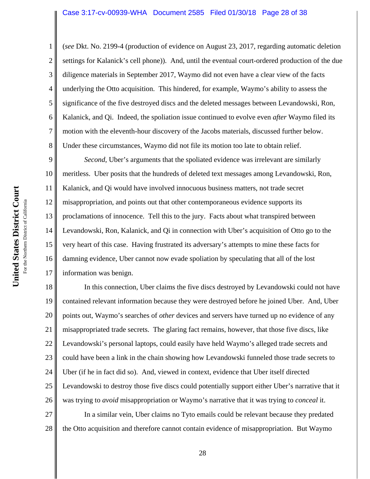#### Case 3:17-cv-00939-WHA Document 2585 Filed 01/30/18 Page 28 of 38

(*see* Dkt. No. 2199-4 (production of evidence on August 23, 2017, regarding automatic deletion settings for Kalanick's cell phone)). And, until the eventual court-ordered production of the due diligence materials in September 2017, Waymo did not even have a clear view of the facts underlying the Otto acquisition. This hindered, for example, Waymo's ability to assess the significance of the five destroyed discs and the deleted messages between Levandowski, Ron, Kalanick, and Qi. Indeed, the spoliation issue continued to evolve even *after* Waymo filed its motion with the eleventh-hour discovery of the Jacobs materials, discussed further below. Under these circumstances, Waymo did not file its motion too late to obtain relief.

9 10 11 12 13 14 15 16 17 *Second*, Uber's arguments that the spoliated evidence was irrelevant are similarly meritless. Uber posits that the hundreds of deleted text messages among Levandowski, Ron, Kalanick, and Qi would have involved innocuous business matters, not trade secret misappropriation, and points out that other contemporaneous evidence supports its proclamations of innocence. Tell this to the jury. Facts about what transpired between Levandowski, Ron, Kalanick, and Qi in connection with Uber's acquisition of Otto go to the very heart of this case. Having frustrated its adversary's attempts to mine these facts for damning evidence, Uber cannot now evade spoliation by speculating that all of the lost information was benign.

18 19 20 21 22 23 24 25 26 In this connection, Uber claims the five discs destroyed by Levandowski could not have contained relevant information because they were destroyed before he joined Uber. And, Uber points out, Waymo's searches of *other* devices and servers have turned up no evidence of any misappropriated trade secrets. The glaring fact remains, however, that those five discs, like Levandowski's personal laptops, could easily have held Waymo's alleged trade secrets and could have been a link in the chain showing how Levandowski funneled those trade secrets to Uber (if he in fact did so). And, viewed in context, evidence that Uber itself directed Levandowski to destroy those five discs could potentially support either Uber's narrative that it was trying to *avoid* misappropriation or Waymo's narrative that it was trying to *conceal* it.

27 28 In a similar vein, Uber claims no Tyto emails could be relevant because they predated the Otto acquisition and therefore cannot contain evidence of misappropriation. But Waymo

1

2

3

4

5

6

7

8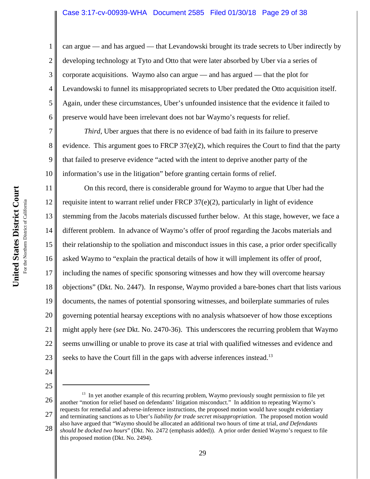### Case 3:17-cv-00939-WHA Document 2585 Filed 01/30/18 Page 29 of 38

can argue — and has argued — that Levandowski brought its trade secrets to Uber indirectly by developing technology at Tyto and Otto that were later absorbed by Uber via a series of corporate acquisitions. Waymo also can argue — and has argued — that the plot for Levandowski to funnel its misappropriated secrets to Uber predated the Otto acquisition itself. Again, under these circumstances, Uber's unfounded insistence that the evidence it failed to preserve would have been irrelevant does not bar Waymo's requests for relief.

*Third*, Uber argues that there is no evidence of bad faith in its failure to preserve evidence. This argument goes to FRCP  $37(e)(2)$ , which requires the Court to find that the party that failed to preserve evidence "acted with the intent to deprive another party of the information's use in the litigation" before granting certain forms of relief.

11 12 13 14 15 16 17 18 19 20 21 22 23 On this record, there is considerable ground for Waymo to argue that Uber had the requisite intent to warrant relief under FRCP 37(e)(2), particularly in light of evidence stemming from the Jacobs materials discussed further below. At this stage, however, we face a different problem. In advance of Waymo's offer of proof regarding the Jacobs materials and their relationship to the spoliation and misconduct issues in this case, a prior order specifically asked Waymo to "explain the practical details of how it will implement its offer of proof, including the names of specific sponsoring witnesses and how they will overcome hearsay objections" (Dkt. No. 2447). In response, Waymo provided a bare-bones chart that lists various documents, the names of potential sponsoring witnesses, and boilerplate summaries of rules governing potential hearsay exceptions with no analysis whatsoever of how those exceptions might apply here (*see* Dkt. No. 2470-36). This underscores the recurring problem that Waymo seems unwilling or unable to prove its case at trial with qualified witnesses and evidence and seeks to have the Court fill in the gaps with adverse inferences instead.<sup>13</sup>

- 24
- 25

26 27 28 <sup>13</sup> In yet another example of this recurring problem, Waymo previously sought permission to file yet another "motion for relief based on defendants' litigation misconduct." In addition to repeating Waymo's requests for remedial and adverse-inference instructions, the proposed motion would have sought evidentiary and terminating sanctions as to Uber's *liability for trade secret misappropriation*. The proposed motion would also have argued that "Waymo should be allocated an additional two hours of time at trial, *and Defendants*

*should be docked two hours*" (Dkt. No. 2472 (emphasis added)). A prior order denied Waymo's request to file this proposed motion (Dkt. No. 2494).

1

2

3

4

5

6

7

8

9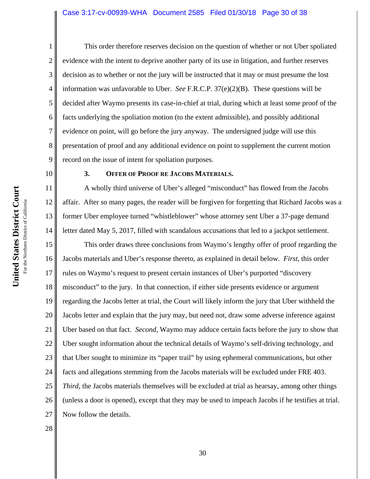#### Case 3:17-cv-00939-WHA Document 2585 Filed 01/30/18 Page 30 of 38

United States District Court **United States District Court** For the Northern District of California For the Northern District of California 10

11

12

13

14

1 2 3 4 5 6 7 8 9 This order therefore reserves decision on the question of whether or not Uber spoliated evidence with the intent to deprive another party of its use in litigation, and further reserves decision as to whether or not the jury will be instructed that it may or must presume the lost information was unfavorable to Uber. *See* F.R.C.P. 37(e)(2)(B). These questions will be decided after Waymo presents its case-in-chief at trial, during which at least some proof of the facts underlying the spoliation motion (to the extent admissible), and possibly additional evidence on point, will go before the jury anyway. The undersigned judge will use this presentation of proof and any additional evidence on point to supplement the current motion record on the issue of intent for spoliation purposes.

### **3. OFFER OF PROOF RE JACOBS MATERIALS.**

A wholly third universe of Uber's alleged "misconduct" has flowed from the Jacobs affair. After so many pages, the reader will be forgiven for forgetting that Richard Jacobs was a former Uber employee turned "whistleblower" whose attorney sent Uber a 37-page demand letter dated May 5, 2017, filled with scandalous accusations that led to a jackpot settlement.

15 16 17 18 19 20 21 22 23 24 25 26 27 This order draws three conclusions from Waymo's lengthy offer of proof regarding the Jacobs materials and Uber's response thereto, as explained in detail below. *First*, this order rules on Waymo's request to present certain instances of Uber's purported "discovery misconduct" to the jury. In that connection, if either side presents evidence or argument regarding the Jacobs letter at trial, the Court will likely inform the jury that Uber withheld the Jacobs letter and explain that the jury may, but need not, draw some adverse inference against Uber based on that fact. *Second*, Waymo may adduce certain facts before the jury to show that Uber sought information about the technical details of Waymo's self-driving technology, and that Uber sought to minimize its "paper trail" by using ephemeral communications, but other facts and allegations stemming from the Jacobs materials will be excluded under FRE 403. *Third*, the Jacobs materials themselves will be excluded at trial as hearsay, among other things (unless a door is opened), except that they may be used to impeach Jacobs if he testifies at trial. Now follow the details.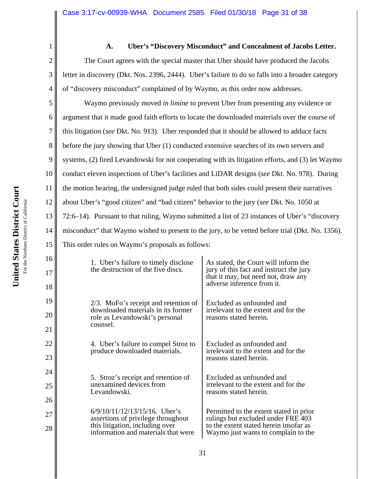2 3 4 5 **A. Uber's "Discovery Misconduct" and Concealment of Jacobs Letter.** The Court agrees with the special master that Uber should have produced the Jacobs letter in discovery (Dkt. Nos. 2396, 2444). Uber's failure to do so falls into a broader category of "discovery misconduct" complained of by Waymo, as this order now addresses.

6 10 11 12 13 14 15 Waymo previously moved *in limine* to prevent Uber from presenting any evidence or argument that it made good faith efforts to locate the downloaded materials over the course of this litigation (*see* Dkt. No. 913). Uber responded that it should be allowed to adduce facts before the jury showing that Uber (1) conducted extensive searches of its own servers and systems, (2) fired Levandowski for not cooperating with its litigation efforts, and (3) let Waymo conduct eleven inspections of Uber's facilities and LiDAR designs (*see* Dkt. No. 978). During the motion hearing, the undersigned judge ruled that both sides could present their narratives about Uber's "good citizen" and "bad citizen" behavior to the jury (*see* Dkt. No. 1050 at 72:6–14). Pursuant to that ruling, Waymo submitted a list of 23 instances of Uber's "discovery misconduct" that Waymo wished to present to the jury, to be vetted before trial (Dkt. No. 1356). This order rules on Waymo's proposals as follows:

| 1. Uber's failure to timely disclose<br>the destruction of the five discs.                                                                       | As stated, the Court will inform the<br>jury of this fact and instruct the jury<br>that it may, but need not, draw any<br>adverse inference from it.           |
|--------------------------------------------------------------------------------------------------------------------------------------------------|----------------------------------------------------------------------------------------------------------------------------------------------------------------|
| $2/3$ . MoFo's receipt and retention of<br>downloaded materials in its former<br>role as Levandowski's personal<br>counsel.                      | Excluded as unfounded and<br>irrelevant to the extent and for the<br>reasons stated herein.                                                                    |
| 4. Uber's failure to compel Stroz to<br>produce downloaded materials.                                                                            | Excluded as unfounded and<br>irrelevant to the extent and for the<br>reasons stated herein.                                                                    |
| 5. Stroz's receipt and retention of<br>unexamined devices from<br>Levandowski.                                                                   | Excluded as unfounded and<br>irrelevant to the extent and for the<br>reasons stated herein.                                                                    |
| $6/9/10/11/12/13/15/16$ . Uber's<br>assertions of privilege throughout<br>this litigation, including over<br>information and materials that were | Permitted to the extent stated in prior<br>rulings but excluded under FRE 403<br>to the extent stated herein insofar as<br>Waymo just wants to complain to the |

1

7

8

9

16

17

18

19

20

21

22

23

24

25

26

27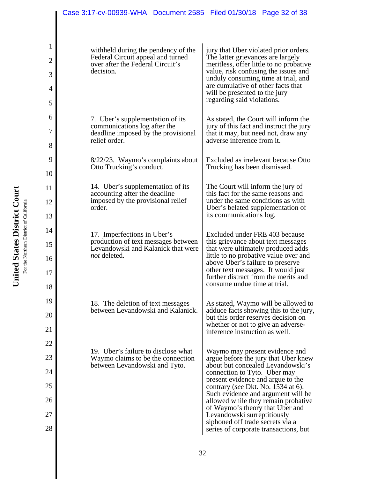| Case 3:17-cv-00939-WHA  Document 2585  Filed 01/30/18  Page 32 of 38                                                      |                                                                                                                                                                                                                                                                                                                                                                                                                                                    |  |
|---------------------------------------------------------------------------------------------------------------------------|----------------------------------------------------------------------------------------------------------------------------------------------------------------------------------------------------------------------------------------------------------------------------------------------------------------------------------------------------------------------------------------------------------------------------------------------------|--|
|                                                                                                                           |                                                                                                                                                                                                                                                                                                                                                                                                                                                    |  |
| withheld during the pendency of the<br>Federal Circuit appeal and turned<br>over after the Federal Circuit's<br>decision. | jury that Uber violated prior orders.<br>The latter grievances are largely<br>meritless, offer little to no probative<br>value, risk confusing the issues and<br>unduly consuming time at trial, and<br>are cumulative of other facts that<br>will be presented to the jury<br>regarding said violations.                                                                                                                                          |  |
| 7. Uber's supplementation of its<br>communications log after the<br>deadline imposed by the provisional<br>relief order.  | As stated, the Court will inform the<br>jury of this fact and instruct the jury<br>that it may, but need not, draw any<br>adverse inference from it.                                                                                                                                                                                                                                                                                               |  |
| 8/22/23. Waymo's complaints about<br>Otto Trucking's conduct.                                                             | Excluded as irrelevant because Otto<br>Trucking has been dismissed.                                                                                                                                                                                                                                                                                                                                                                                |  |
| 14. Uber's supplementation of its<br>accounting after the deadline<br>imposed by the provisional relief<br>order.         | The Court will inform the jury of<br>this fact for the same reasons and<br>under the same conditions as with<br>Uber's belated supplementation of<br>its communications log.                                                                                                                                                                                                                                                                       |  |
| 17. Imperfections in Uber's<br>production of text messages between<br>Levandowski and Kalanick that were<br>not deleted.  | Excluded under FRE 403 because<br>this grievance about text messages<br>that were ultimately produced adds<br>little to no probative value over and<br>above Uber's failure to preserve<br>other text messages. It would just<br>further distract from the merits and<br>consume undue time at trial.                                                                                                                                              |  |
| 18. The deletion of text messages<br>between Levandowski and Kalanick.                                                    | As stated, Waymo will be allowed to<br>adduce facts showing this to the jury,<br>but this order reserves decision on<br>whether or not to give an adverse-<br>inference instruction as well.                                                                                                                                                                                                                                                       |  |
| 19. Uber's failure to disclose what<br>Waymo claims to be the connection<br>between Levandowski and Tyto.                 | Waymo may present evidence and<br>argue before the jury that Uber knew<br>about but concealed Levandowski's<br>connection to Tyto. Uber may<br>present evidence and argue to the<br>contrary (see Dkt. No. 1534 at 6).<br>Such evidence and argument will be<br>allowed while they remain probative<br>of Waymo's theory that Uber and<br>Levandowski surreptitiously<br>siphoned off trade secrets via a<br>series of corporate transactions, but |  |

1

2

3

4

5

6

7

8

9

10

11

12

13

14

15

16

17

18

19

20

21

22

23

24

25

26

27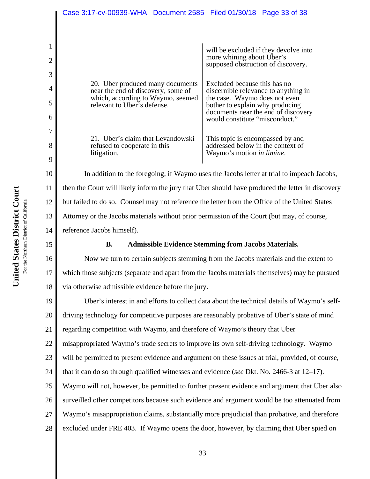|                                                                                                                                            | will be excluded if they devolve into<br>more whining about Uber's<br>supposed obstruction of discovery.                                                                                                          |
|--------------------------------------------------------------------------------------------------------------------------------------------|-------------------------------------------------------------------------------------------------------------------------------------------------------------------------------------------------------------------|
| 20. Uber produced many documents<br>near the end of discovery, some of<br>which, according to Waymo, seemed<br>relevant to Uber's defense. | Excluded because this has no<br>discernible relevance to anything in<br>the case. Waymo does not even<br>bother to explain why producing<br>documents near the end of discovery<br>would constitute "misconduct." |
| 21. Uber's claim that Levandowski<br>refused to cooperate in this<br>litigation.                                                           | This topic is encompassed by and<br>addressed below in the context of<br>Waymo's motion in limine.                                                                                                                |

In addition to the foregoing, if Waymo uses the Jacobs letter at trial to impeach Jacobs, then the Court will likely inform the jury that Uber should have produced the letter in discovery but failed to do so. Counsel may not reference the letter from the Office of the United States Attorney or the Jacobs materials without prior permission of the Court (but may, of course, reference Jacobs himself).

# 15

# **B. Admissible Evidence Stemming from Jacobs Materials.**

16 17 18 Now we turn to certain subjects stemming from the Jacobs materials and the extent to which those subjects (separate and apart from the Jacobs materials themselves) may be pursued via otherwise admissible evidence before the jury.

19 20 21 22 23 24 25 26 27 28 Uber's interest in and efforts to collect data about the technical details of Waymo's selfdriving technology for competitive purposes are reasonably probative of Uber's state of mind regarding competition with Waymo, and therefore of Waymo's theory that Uber misappropriated Waymo's trade secrets to improve its own self-driving technology. Waymo will be permitted to present evidence and argument on these issues at trial, provided, of course, that it can do so through qualified witnesses and evidence (*see* Dkt. No. 2466-3 at 12–17). Waymo will not, however, be permitted to further present evidence and argument that Uber also surveilled other competitors because such evidence and argument would be too attenuated from Waymo's misappropriation claims, substantially more prejudicial than probative, and therefore excluded under FRE 403. If Waymo opens the door, however, by claiming that Uber spied on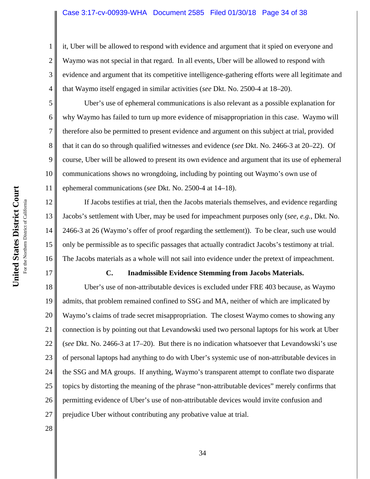#### Case 3:17-cv-00939-WHA Document 2585 Filed 01/30/18 Page 34 of 38

it, Uber will be allowed to respond with evidence and argument that it spied on everyone and Waymo was not special in that regard. In all events, Uber will be allowed to respond with evidence and argument that its competitive intelligence-gathering efforts were all legitimate and that Waymo itself engaged in similar activities (*see* Dkt. No. 2500-4 at 18–20).

Uber's use of ephemeral communications is also relevant as a possible explanation for why Waymo has failed to turn up more evidence of misappropriation in this case. Waymo will therefore also be permitted to present evidence and argument on this subject at trial, provided that it can do so through qualified witnesses and evidence (*see* Dkt. No. 2466-3 at 20–22). Of course, Uber will be allowed to present its own evidence and argument that its use of ephemeral communications shows no wrongdoing, including by pointing out Waymo's own use of ephemeral communications (*see* Dkt. No. 2500-4 at 14–18).

12 13 14 15 16 If Jacobs testifies at trial, then the Jacobs materials themselves, and evidence regarding Jacobs's settlement with Uber, may be used for impeachment purposes only (*see, e.g.*, Dkt. No. 2466-3 at 26 (Waymo's offer of proof regarding the settlement)). To be clear, such use would only be permissible as to specific passages that actually contradict Jacobs's testimony at trial. The Jacobs materials as a whole will not sail into evidence under the pretext of impeachment.

#### **C. Inadmissible Evidence Stemming from Jacobs Materials.**

18 19 20 21 22 23 24 25 26 27 Uber's use of non-attributable devices is excluded under FRE 403 because, as Waymo admits, that problem remained confined to SSG and MA, neither of which are implicated by Waymo's claims of trade secret misappropriation. The closest Waymo comes to showing any connection is by pointing out that Levandowski used two personal laptops for his work at Uber (*see* Dkt. No. 2466-3 at 17–20). But there is no indication whatsoever that Levandowski's use of personal laptops had anything to do with Uber's systemic use of non-attributable devices in the SSG and MA groups. If anything, Waymo's transparent attempt to conflate two disparate topics by distorting the meaning of the phrase "non-attributable devices" merely confirms that permitting evidence of Uber's use of non-attributable devices would invite confusion and prejudice Uber without contributing any probative value at trial.

28

1

2

3

4

5

6

7

8

9

10

11

17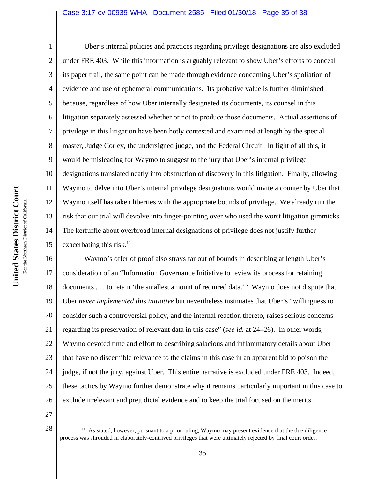#### Case 3:17-cv-00939-WHA Document 2585 Filed 01/30/18 Page 35 of 38

1 2 3 4 5 6 7 8 9 10 11 12 13 14 15 Uber's internal policies and practices regarding privilege designations are also excluded under FRE 403. While this information is arguably relevant to show Uber's efforts to conceal its paper trail, the same point can be made through evidence concerning Uber's spoliation of evidence and use of ephemeral communications. Its probative value is further diminished because, regardless of how Uber internally designated its documents, its counsel in this litigation separately assessed whether or not to produce those documents. Actual assertions of privilege in this litigation have been hotly contested and examined at length by the special master, Judge Corley, the undersigned judge, and the Federal Circuit. In light of all this, it would be misleading for Waymo to suggest to the jury that Uber's internal privilege designations translated neatly into obstruction of discovery in this litigation. Finally, allowing Waymo to delve into Uber's internal privilege designations would invite a counter by Uber that Waymo itself has taken liberties with the appropriate bounds of privilege. We already run the risk that our trial will devolve into finger-pointing over who used the worst litigation gimmicks. The kerfuffle about overbroad internal designations of privilege does not justify further exacerbating this risk. $14$ 

16 17 18 19 20 21 22 23 24 25 26 Waymo's offer of proof also strays far out of bounds in describing at length Uber's consideration of an "Information Governance Initiative to review its process for retaining documents . . . to retain 'the smallest amount of required data.'" Waymo does not dispute that Uber *never implemented this initiative* but nevertheless insinuates that Uber's "willingness to consider such a controversial policy, and the internal reaction thereto, raises serious concerns regarding its preservation of relevant data in this case" (*see id.* at 24–26). In other words, Waymo devoted time and effort to describing salacious and inflammatory details about Uber that have no discernible relevance to the claims in this case in an apparent bid to poison the judge, if not the jury, against Uber. This entire narrative is excluded under FRE 403. Indeed, these tactics by Waymo further demonstrate why it remains particularly important in this case to exclude irrelevant and prejudicial evidence and to keep the trial focused on the merits.

 $28 \parallel$  <sup>14</sup> As stated, however, pursuant to a prior ruling, Waymo may present evidence that the due diligence process was shrouded in elaborately-contrived privileges that were ultimately rejected by final court order.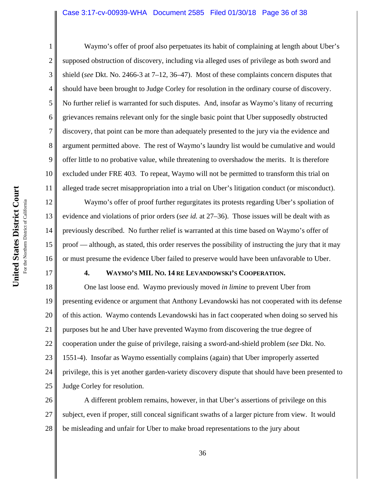### Case 3:17-cv-00939-WHA Document 2585 Filed 01/30/18 Page 36 of 38

17

1 2 3 4 5 6 7 8 9 10 11 Waymo's offer of proof also perpetuates its habit of complaining at length about Uber's supposed obstruction of discovery, including via alleged uses of privilege as both sword and shield (*see* Dkt. No. 2466-3 at 7–12, 36–47). Most of these complaints concern disputes that should have been brought to Judge Corley for resolution in the ordinary course of discovery. No further relief is warranted for such disputes. And, insofar as Waymo's litany of recurring grievances remains relevant only for the single basic point that Uber supposedly obstructed discovery, that point can be more than adequately presented to the jury via the evidence and argument permitted above. The rest of Waymo's laundry list would be cumulative and would offer little to no probative value, while threatening to overshadow the merits. It is therefore excluded under FRE 403. To repeat, Waymo will not be permitted to transform this trial on alleged trade secret misappropriation into a trial on Uber's litigation conduct (or misconduct).

12 13 14 15 16 Waymo's offer of proof further regurgitates its protests regarding Uber's spoliation of evidence and violations of prior orders (*see id.* at 27–36). Those issues will be dealt with as previously described. No further relief is warranted at this time based on Waymo's offer of proof — although, as stated, this order reserves the possibility of instructing the jury that it may or must presume the evidence Uber failed to preserve would have been unfavorable to Uber.

# **4. WAYMO'S MIL NO. 14 RE LEVANDOWSKI'S COOPERATION.**

18 19 20 21 22 23 24 25 One last loose end. Waymo previously moved *in limine* to prevent Uber from presenting evidence or argument that Anthony Levandowski has not cooperated with its defense of this action. Waymo contends Levandowski has in fact cooperated when doing so served his purposes but he and Uber have prevented Waymo from discovering the true degree of cooperation under the guise of privilege, raising a sword-and-shield problem (*see* Dkt. No. 1551-4). Insofar as Waymo essentially complains (again) that Uber improperly asserted privilege, this is yet another garden-variety discovery dispute that should have been presented to Judge Corley for resolution.

26 27 28 A different problem remains, however, in that Uber's assertions of privilege on this subject, even if proper, still conceal significant swaths of a larger picture from view. It would be misleading and unfair for Uber to make broad representations to the jury about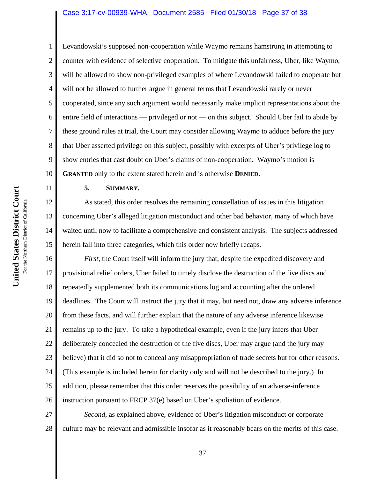#### Case 3:17-cv-00939-WHA Document 2585 Filed 01/30/18 Page 37 of 38

Levandowski's supposed non-cooperation while Waymo remains hamstrung in attempting to counter with evidence of selective cooperation. To mitigate this unfairness, Uber, like Waymo, will be allowed to show non-privileged examples of where Levandowski failed to cooperate but will not be allowed to further argue in general terms that Levandowski rarely or never cooperated, since any such argument would necessarily make implicit representations about the entire field of interactions — privileged or not — on this subject. Should Uber fail to abide by these ground rules at trial, the Court may consider allowing Waymo to adduce before the jury that Uber asserted privilege on this subject, possibly with excerpts of Uber's privilege log to show entries that cast doubt on Uber's claims of non-cooperation. Waymo's motion is **GRANTED** only to the extent stated herein and is otherwise **DENIED**.

**5. SUMMARY.**

As stated, this order resolves the remaining constellation of issues in this litigation concerning Uber's alleged litigation misconduct and other bad behavior, many of which have waited until now to facilitate a comprehensive and consistent analysis. The subjects addressed herein fall into three categories, which this order now briefly recaps.

16 17 18 19 20 21 22 23 24 25 26 *First*, the Court itself will inform the jury that, despite the expedited discovery and provisional relief orders, Uber failed to timely disclose the destruction of the five discs and repeatedly supplemented both its communications log and accounting after the ordered deadlines. The Court will instruct the jury that it may, but need not, draw any adverse inference from these facts, and will further explain that the nature of any adverse inference likewise remains up to the jury. To take a hypothetical example, even if the jury infers that Uber deliberately concealed the destruction of the five discs, Uber may argue (and the jury may believe) that it did so not to conceal any misappropriation of trade secrets but for other reasons. (This example is included herein for clarity only and will not be described to the jury.) In addition, please remember that this order reserves the possibility of an adverse-inference instruction pursuant to FRCP 37(e) based on Uber's spoliation of evidence.

27 28 *Second*, as explained above, evidence of Uber's litigation misconduct or corporate culture may be relevant and admissible insofar as it reasonably bears on the merits of this case.

1

2

3

4

5

6

7

8

9

10

11

12

13

14

15